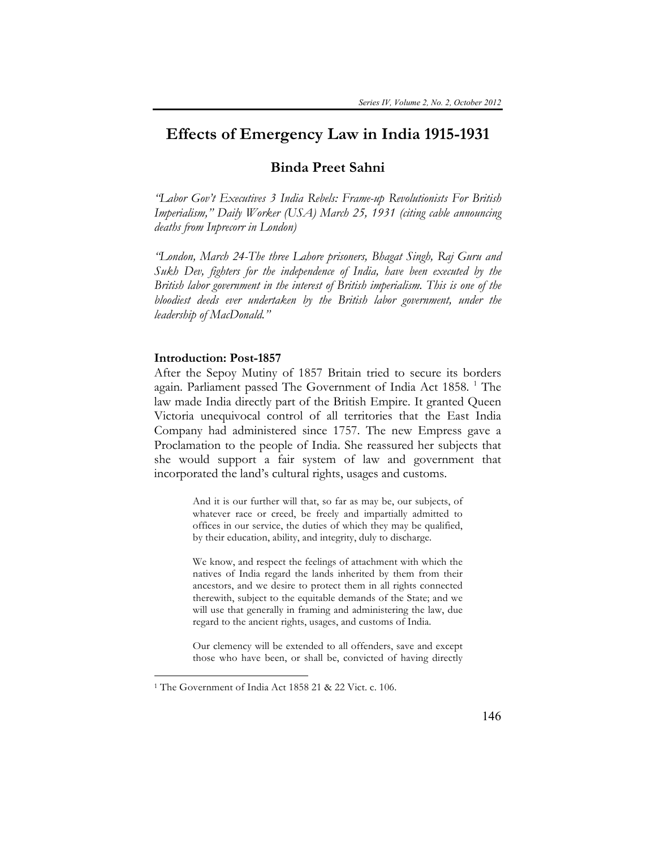# **Effects of Emergency Law in India 1915-1931**

# **Binda Preet Sahni**

*"Labor Gov't Executives 3 India Rebels: Frame-up Revolutionists For British Imperialism," Daily Worker (USA) March 25, 1931 (citing cable announcing deaths from Inprecorr in London)* 

*"London, March 24-The three Lahore prisoners, Bhagat Singh, Raj Guru and Sukh Dev, fighters for the independence of India, have been executed by the British labor government in the interest of British imperialism. This is one of the bloodiest deeds ever undertaken by the British labor government, under the leadership of MacDonald."* 

## **Introduction: Post-1857**

After the Sepoy Mutiny of 1857 Britain tried to secure its borders again. Parliament passed The Government of India Act 1858.<sup>1</sup> The law made India directly part of the British Empire. It granted Queen Victoria unequivocal control of all territories that the East India Company had administered since 1757. The new Empress gave a Proclamation to the people of India. She reassured her subjects that she would support a fair system of law and government that incorporated the land's cultural rights, usages and customs.

> And it is our further will that, so far as may be, our subjects, of whatever race or creed, be freely and impartially admitted to offices in our service, the duties of which they may be qualified, by their education, ability, and integrity, duly to discharge.

> We know, and respect the feelings of attachment with which the natives of India regard the lands inherited by them from their ancestors, and we desire to protect them in all rights connected therewith, subject to the equitable demands of the State; and we will use that generally in framing and administering the law, due regard to the ancient rights, usages, and customs of India.

> Our clemency will be extended to all offenders, save and except those who have been, or shall be, convicted of having directly

<sup>1</sup> The Government of India Act 1858 21 & 22 Vict. c. 106.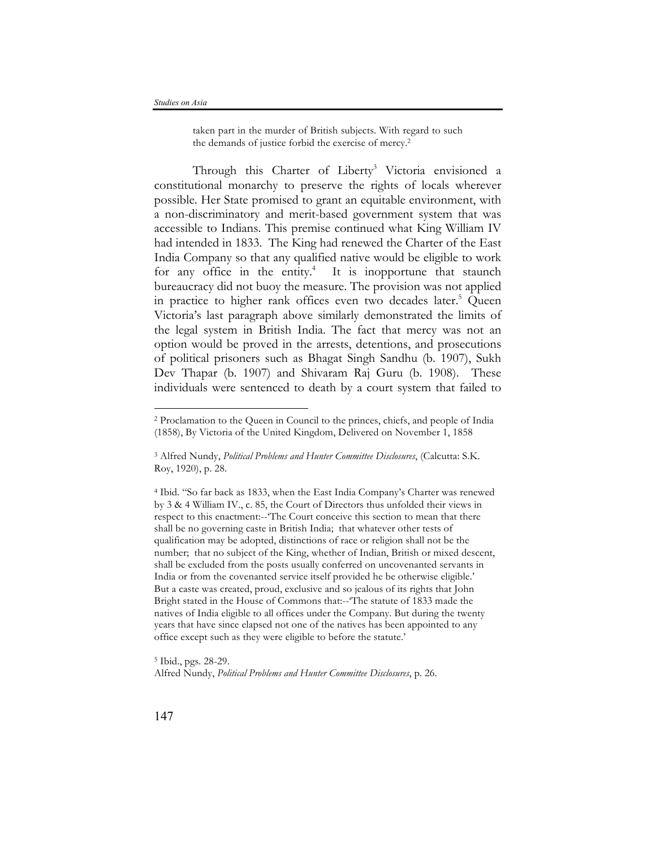taken part in the murder of British subjects. With regard to such the demands of justice forbid the exercise of mercy.2

Through this Charter of Liberty<sup>3</sup> Victoria envisioned a constitutional monarchy to preserve the rights of locals wherever possible. Her State promised to grant an equitable environment, with a non-discriminatory and merit-based government system that was accessible to Indians. This premise continued what King William IV had intended in 1833. The King had renewed the Charter of the East India Company so that any qualified native would be eligible to work for any office in the entity.<sup>4</sup> It is inopportune that staunch bureaucracy did not buoy the measure. The provision was not applied in practice to higher rank offices even two decades later.<sup>5</sup> Queen Victoria's last paragraph above similarly demonstrated the limits of the legal system in British India. The fact that mercy was not an option would be proved in the arrests, detentions, and prosecutions of political prisoners such as Bhagat Singh Sandhu (b. 1907), Sukh Dev Thapar (b. 1907) and Shivaram Raj Guru (b. 1908). These individuals were sentenced to death by a court system that failed to

<sup>4</sup> Ibid. "So far back as 1833, when the East India Company's Charter was renewed by 3 & 4 William IV., c. 85, the Court of Directors thus unfolded their views in respect to this enactment:--'The Court conceive this section to mean that there shall be no governing caste in British India; that whatever other tests of qualification may be adopted, distinctions of race or religion shall not be the number; that no subject of the King, whether of Indian, British or mixed descent, shall be excluded from the posts usually conferred on uncovenanted servants in India or from the covenanted service itself provided he be otherwise eligible.' But a caste was created, proud, exclusive and so jealous of its rights that John Bright stated in the House of Commons that:--'The statute of 1833 made the natives of India eligible to all offices under the Company. But during the twenty years that have since elapsed not one of the natives has been appointed to any office except such as they were eligible to before the statute.'

<sup>5</sup> Ibid., pgs. 28-29. Alfred Nundy, *Political Problems and Hunter Committee Disclosures*, p. 26.

<sup>2</sup> Proclamation to the Queen in Council to the princes, chiefs, and people of India (1858), By Victoria of the United Kingdom, Delivered on November 1, 1858

<sup>3</sup> Alfred Nundy, *Political Problems and Hunter Committee Disclosures*, (Calcutta: S.K. Roy, 1920), p. 28.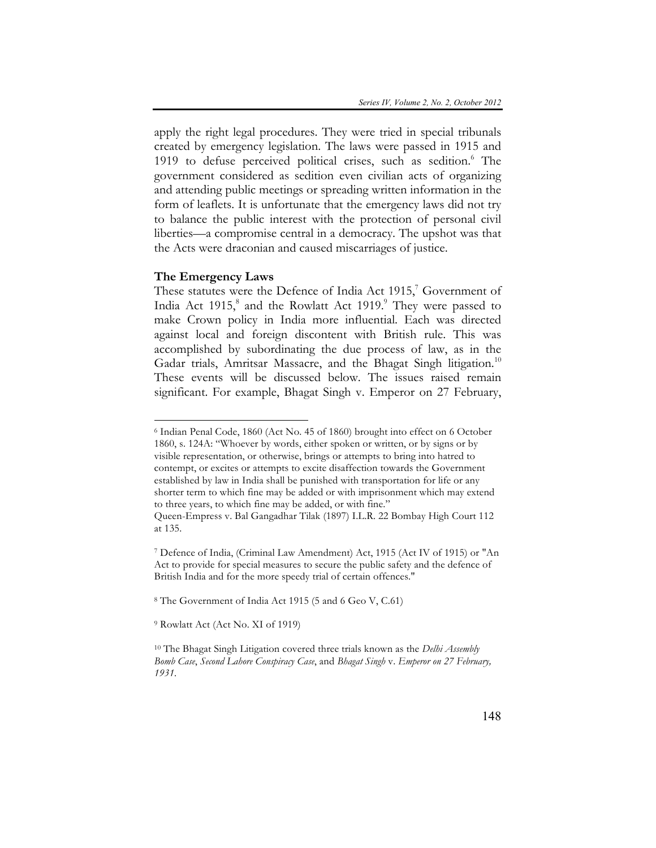apply the right legal procedures. They were tried in special tribunals created by emergency legislation. The laws were passed in 1915 and 1919 to defuse perceived political crises, such as sedition.<sup>6</sup> The government considered as sedition even civilian acts of organizing and attending public meetings or spreading written information in the form of leaflets. It is unfortunate that the emergency laws did not try to balance the public interest with the protection of personal civil liberties—a compromise central in a democracy. The upshot was that the Acts were draconian and caused miscarriages of justice.

#### **The Emergency Laws**

 $\overline{a}$ 

These statutes were the Defence of India Act 1915, $^7$  Government of India Act 1915, $^8$  and the Rowlatt Act 1919. $^9$  They were passed to make Crown policy in India more influential. Each was directed against local and foreign discontent with British rule. This was accomplished by subordinating the due process of law, as in the Gadar trials, Amritsar Massacre, and the Bhagat Singh litigation.<sup>10</sup> These events will be discussed below. The issues raised remain significant. For example, Bhagat Singh v. Emperor on 27 February,

<sup>8</sup> The Government of India Act 1915 (5 and 6 Geo V, C.61)

<sup>9</sup> Rowlatt Act (Act No. XI of 1919)

<sup>6</sup> Indian Penal Code, 1860 (Act No. 45 of 1860) brought into effect on 6 October 1860, s. 124A: "Whoever by words, either spoken or written, or by signs or by visible representation, or otherwise, brings or attempts to bring into hatred to contempt, or excites or attempts to excite disaffection towards the Government established by law in India shall be punished with transportation for life or any shorter term to which fine may be added or with imprisonment which may extend to three years, to which fine may be added, or with fine." Queen-Empress v. Bal Gangadhar Tilak (1897) I.L.R. 22 Bombay High Court 112

at 135.

<sup>7</sup> Defence of India, (Criminal Law Amendment) Act, 1915 (Act IV of 1915) or "An Act to provide for special measures to secure the public safety and the defence of British India and for the more speedy trial of certain offences."

<sup>10</sup> The Bhagat Singh Litigation covered three trials known as the *Delhi Assembly Bomb Case*, *Second Lahore Conspiracy Case*, and *Bhagat Singh* v. *Emperor on 27 February, 1931*.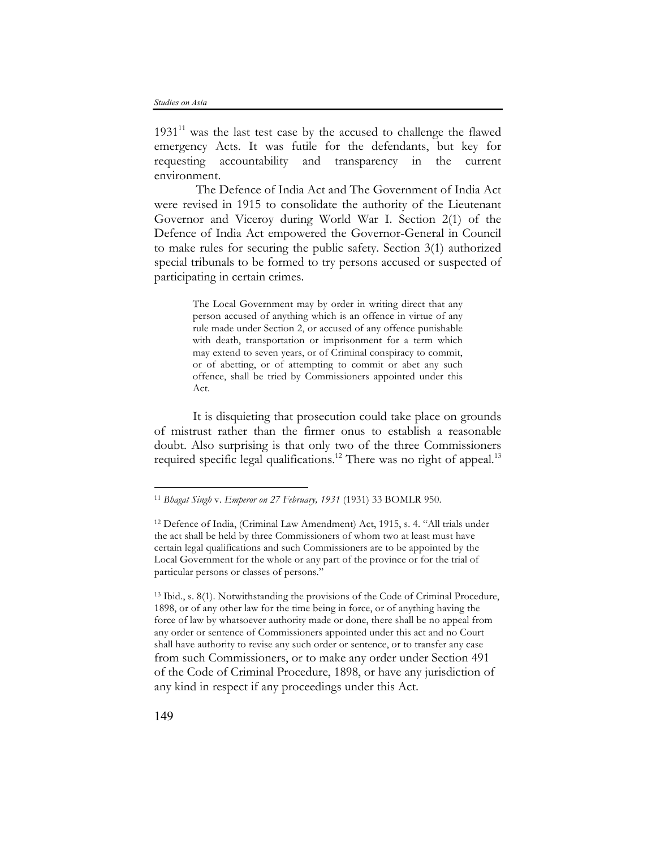$1931<sup>11</sup>$  was the last test case by the accused to challenge the flawed emergency Acts. It was futile for the defendants, but key for requesting accountability and transparency in the current environment.

The Defence of India Act and The Government of India Act were revised in 1915 to consolidate the authority of the Lieutenant Governor and Viceroy during World War I. Section 2(1) of the Defence of India Act empowered the Governor-General in Council to make rules for securing the public safety. Section 3(1) authorized special tribunals to be formed to try persons accused or suspected of participating in certain crimes.

> The Local Government may by order in writing direct that any person accused of anything which is an offence in virtue of any rule made under Section 2, or accused of any offence punishable with death, transportation or imprisonment for a term which may extend to seven years, or of Criminal conspiracy to commit, or of abetting, or of attempting to commit or abet any such offence, shall be tried by Commissioners appointed under this Act.

It is disquieting that prosecution could take place on grounds of mistrust rather than the firmer onus to establish a reasonable doubt. Also surprising is that only two of the three Commissioners required specific legal qualifications.<sup>12</sup> There was no right of appeal.<sup>13</sup>

<sup>13</sup> Ibid., s. 8(1). Notwithstanding the provisions of the Code of Criminal Procedure, 1898, or of any other law for the time being in force, or of anything having the force of law by whatsoever authority made or done, there shall be no appeal from any order or sentence of Commissioners appointed under this act and no Court shall have authority to revise any such order or sentence, or to transfer any case from such Commissioners, or to make any order under Section 491 of the Code of Criminal Procedure, 1898, or have any jurisdiction of any kind in respect if any proceedings under this Act.

<sup>11</sup> *Bhagat Singh* v. *Emperor on 27 February, 1931* (1931) 33 BOMLR 950.

<sup>12</sup> Defence of India, (Criminal Law Amendment) Act, 1915, s. 4. "All trials under the act shall be held by three Commissioners of whom two at least must have certain legal qualifications and such Commissioners are to be appointed by the Local Government for the whole or any part of the province or for the trial of particular persons or classes of persons."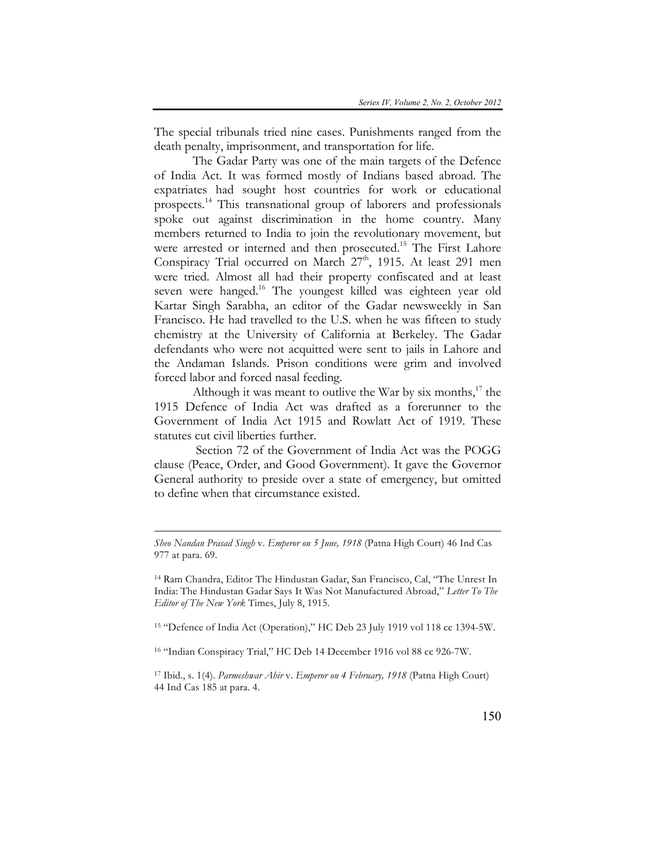The special tribunals tried nine cases. Punishments ranged from the death penalty, imprisonment, and transportation for life.

The Gadar Party was one of the main targets of the Defence of India Act. It was formed mostly of Indians based abroad. The expatriates had sought host countries for work or educational prospects. <sup>14</sup> This transnational group of laborers and professionals spoke out against discrimination in the home country. Many members returned to India to join the revolutionary movement, but were arrested or interned and then prosecuted.<sup>15</sup> The First Lahore Conspiracy Trial occurred on March 27<sup>th</sup>, 1915. At least 291 men were tried. Almost all had their property confiscated and at least seven were hanged.<sup>16</sup> The youngest killed was eighteen year old Kartar Singh Sarabha, an editor of the Gadar newsweekly in San Francisco. He had travelled to the U.S. when he was fifteen to study chemistry at the University of California at Berkeley. The Gadar defendants who were not acquitted were sent to jails in Lahore and the Andaman Islands. Prison conditions were grim and involved forced labor and forced nasal feeding.

Although it was meant to outlive the War by six months, $17$  the 1915 Defence of India Act was drafted as a forerunner to the Government of India Act 1915 and Rowlatt Act of 1919. These statutes cut civil liberties further.

Section 72 of the Government of India Act was the POGG clause (Peace, Order, and Good Government). It gave the Governor General authority to preside over a state of emergency, but omitted to define when that circumstance existed.

 $\overline{a}$ 

<sup>15</sup> "Defence of India Act (Operation)," HC Deb 23 July 1919 vol 118 cc 1394-5W.

<sup>16</sup> "Indian Conspiracy Trial," HC Deb 14 December 1916 vol 88 cc 926-7W.

<sup>17</sup> Ibid., s. 1(4). *Parmeshwar Ahir* v. *Emperor on 4 February, 1918* (Patna High Court) 44 Ind Cas 185 at para. 4.

*Sheo Nandan Prasad Singh* v. *Emperor on 5 June, 1918* (Patna High Court) 46 Ind Cas 977 at para. 69.

<sup>14</sup> Ram Chandra, Editor The Hindustan Gadar, San Francisco, Cal, "The Unrest In India: The Hindustan Gadar Says It Was Not Manufactured Abroad," *Letter To The Editor of The New York* Times, July 8, 1915.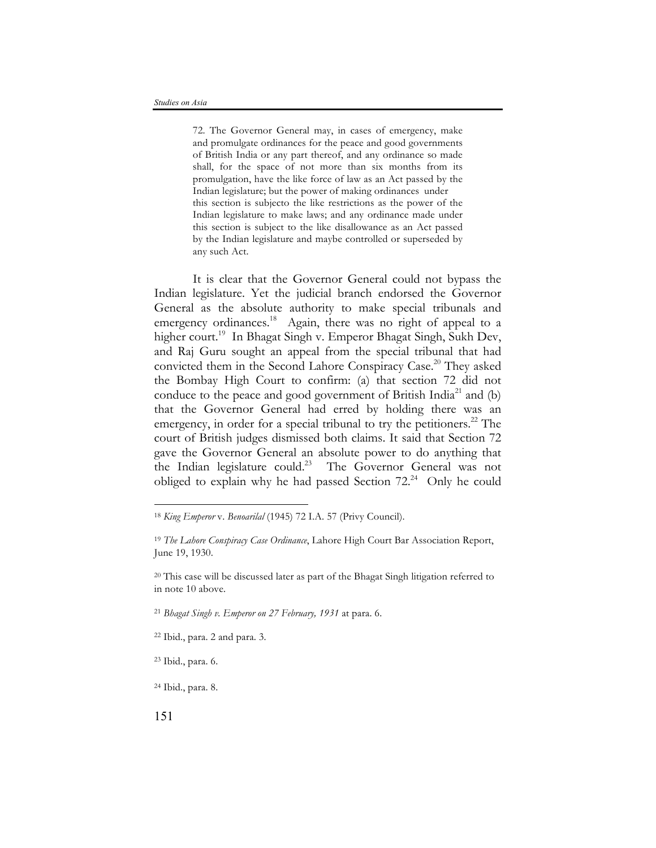72. The Governor General may, in cases of emergency, make and promulgate ordinances for the peace and good governments of British India or any part thereof, and any ordinance so made shall, for the space of not more than six months from its promulgation, have the like force of law as an Act passed by the Indian legislature; but the power of making ordinances under this section is subjecto the like restrictions as the power of the Indian legislature to make laws; and any ordinance made under this section is subject to the like disallowance as an Act passed by the Indian legislature and maybe controlled or superseded by any such Act.

It is clear that the Governor General could not bypass the Indian legislature. Yet the judicial branch endorsed the Governor General as the absolute authority to make special tribunals and emergency ordinances.<sup>18</sup> Again, there was no right of appeal to a higher court.<sup>19</sup> In Bhagat Singh v. Emperor Bhagat Singh, Sukh Dev, and Raj Guru sought an appeal from the special tribunal that had convicted them in the Second Lahore Conspiracy Case. <sup>20</sup> They asked the Bombay High Court to confirm: (a) that section 72 did not conduce to the peace and good government of British India<sup>21</sup> and (b) that the Governor General had erred by holding there was an emergency, in order for a special tribunal to try the petitioners.<sup>22</sup> The court of British judges dismissed both claims. It said that Section 72 gave the Governor General an absolute power to do anything that the Indian legislature could. <sup>23</sup> The Governor General was not obliged to explain why he had passed Section  $72.^{24}$  Only he could

<sup>21</sup> *Bhagat Singh v. Emperor on 27 February, 1931* at para. 6.

<sup>18</sup> *King Emperor* v. *Benoarilal* (1945) 72 I.A. 57 (Privy Council).

<sup>19</sup> *The Lahore Conspiracy Case Ordinance*, Lahore High Court Bar Association Report, June 19, 1930.

<sup>20</sup> This case will be discussed later as part of the Bhagat Singh litigation referred to in note 10 above.

<sup>22</sup> Ibid., para. 2 and para. 3.

<sup>23</sup> Ibid., para. 6.

<sup>24</sup> Ibid., para. 8.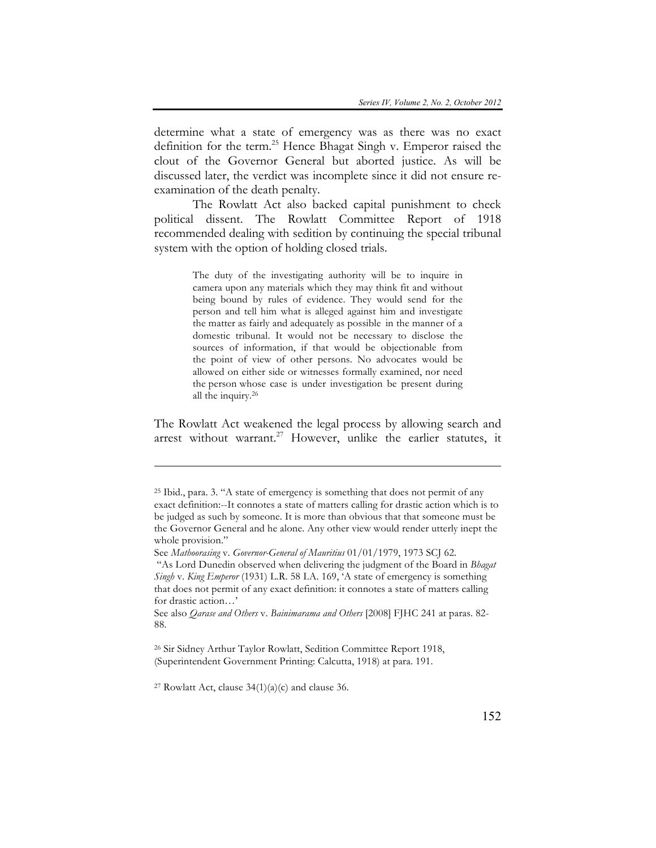determine what a state of emergency was as there was no exact definition for the term. <sup>25</sup> Hence Bhagat Singh v. Emperor raised the clout of the Governor General but aborted justice. As will be discussed later, the verdict was incomplete since it did not ensure reexamination of the death penalty.

The Rowlatt Act also backed capital punishment to check political dissent. The Rowlatt Committee Report of 1918 recommended dealing with sedition by continuing the special tribunal system with the option of holding closed trials.

> The duty of the investigating authority will be to inquire in camera upon any materials which they may think fit and without being bound by rules of evidence. They would send for the person and tell him what is alleged against him and investigate the matter as fairly and adequately as possible in the manner of a domestic tribunal. It would not be necessary to disclose the sources of information, if that would be objectionable from the point of view of other persons. No advocates would be allowed on either side or witnesses formally examined, nor need the person whose case is under investigation be present during all the inquiry.26

The Rowlatt Act weakened the legal process by allowing search and arrest without warrant.<sup>27</sup> However, unlike the earlier statutes, it

<sup>26</sup> Sir Sidney Arthur Taylor Rowlatt, Sedition Committee Report 1918, (Superintendent Government Printing: Calcutta, 1918) at para. 191.

<sup>27</sup> Rowlatt Act, clause  $34(1)(a)(c)$  and clause 36.

<sup>25</sup> Ibid., para. 3. "A state of emergency is something that does not permit of any exact definition:--It connotes a state of matters calling for drastic action which is to be judged as such by someone. It is more than obvious that that someone must be the Governor General and he alone. Any other view would render utterly inept the whole provision."

See *Mathoorasing* v. *Governor-General of Mauritius* 01/01/1979, 1973 SCJ 62.

<sup>&</sup>quot;As Lord Dunedin observed when delivering the judgment of the Board in *Bhagat Singh* v. *King Emperor* (1931) L.R. 58 I.A. 169, 'A state of emergency is something that does not permit of any exact definition: it connotes a state of matters calling for drastic action…'

See also *Qarase and Others* v. *Bainimarama and Others* [2008] FJHC 241 at paras. 82- 88.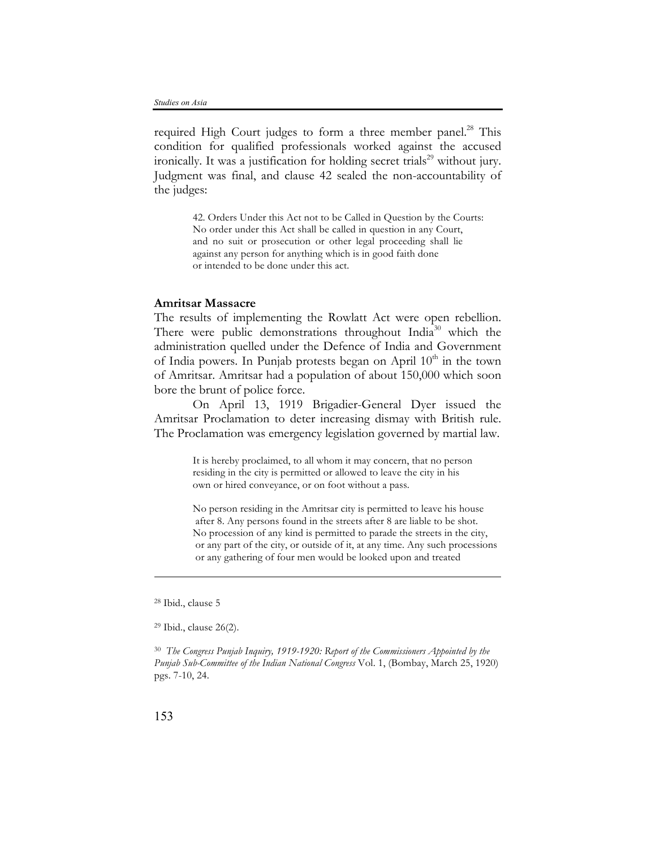required High Court judges to form a three member panel.<sup>28</sup> This condition for qualified professionals worked against the accused ironically. It was a justification for holding secret trials<sup>29</sup> without jury. Judgment was final, and clause 42 sealed the non-accountability of the judges:

> 42. Orders Under this Act not to be Called in Question by the Courts: No order under this Act shall be called in question in any Court, and no suit or prosecution or other legal proceeding shall lie against any person for anything which is in good faith done or intended to be done under this act.

# **Amritsar Massacre**

The results of implementing the Rowlatt Act were open rebellion. There were public demonstrations throughout India<sup>30</sup> which the administration quelled under the Defence of India and Government of India powers. In Punjab protests began on April  $10<sup>th</sup>$  in the town of Amritsar. Amritsar had a population of about 150,000 which soon bore the brunt of police force.

On April 13, 1919 Brigadier-General Dyer issued the Amritsar Proclamation to deter increasing dismay with British rule. The Proclamation was emergency legislation governed by martial law.

> It is hereby proclaimed, to all whom it may concern, that no person residing in the city is permitted or allowed to leave the city in his own or hired conveyance, or on foot without a pass.

No person residing in the Amritsar city is permitted to leave his house after 8. Any persons found in the streets after 8 are liable to be shot. No procession of any kind is permitted to parade the streets in the city, or any part of the city, or outside of it, at any time. Any such processions or any gathering of four men would be looked upon and treated

<sup>30</sup> *The Congress Punjab Inquiry, 1919-1920: Report of the Commissioners Appointed by the Punjab Sub-Committee of the Indian National Congress* Vol. 1, (Bombay, March 25, 1920) pgs. 7-10, 24.

<sup>28</sup> Ibid., clause 5

<sup>29</sup> Ibid., clause 26(2).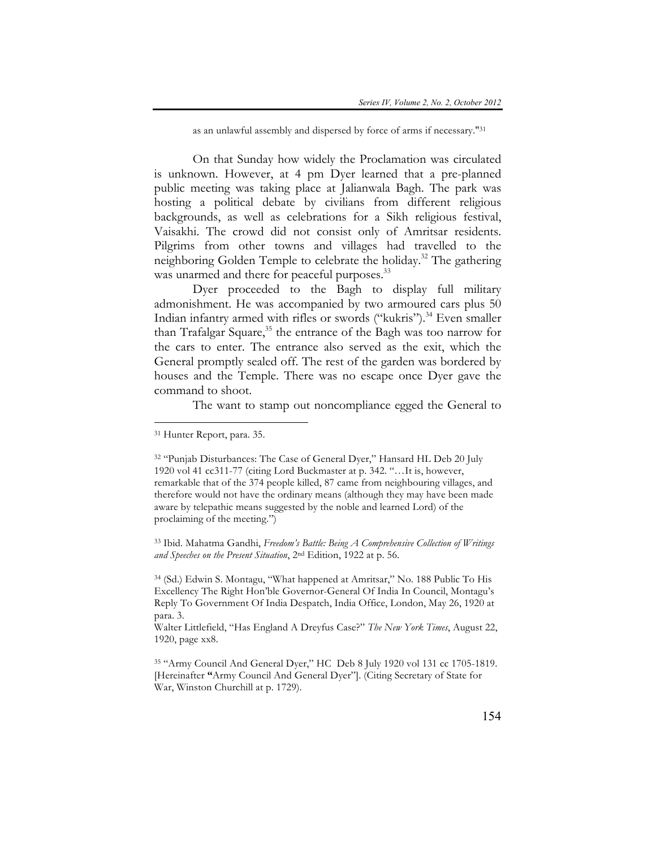as an unlawful assembly and dispersed by force of arms if necessary."31

On that Sunday how widely the Proclamation was circulated is unknown. However, at 4 pm Dyer learned that a pre-planned public meeting was taking place at Jalianwala Bagh. The park was hosting a political debate by civilians from different religious backgrounds, as well as celebrations for a Sikh religious festival, Vaisakhi. The crowd did not consist only of Amritsar residents. Pilgrims from other towns and villages had travelled to the neighboring Golden Temple to celebrate the holiday.32 The gathering was unarmed and there for peaceful purposes.<sup>33</sup>

Dyer proceeded to the Bagh to display full military admonishment. He was accompanied by two armoured cars plus 50 Indian infantry armed with rifles or swords ("kukris").<sup>34</sup> Even smaller than Trafalgar Square,<sup>35</sup> the entrance of the Bagh was too narrow for the cars to enter. The entrance also served as the exit, which the General promptly sealed off. The rest of the garden was bordered by houses and the Temple. There was no escape once Dyer gave the command to shoot.

The want to stamp out noncompliance egged the General to

 $\overline{a}$ 

<sup>33</sup> Ibid. Mahatma Gandhi, *Freedom's Battle: Being A Comprehensive Collection of Writings and Speeches on the Present Situation*, 2nd Edition, 1922 at p. 56.

<sup>34</sup> (Sd.) Edwin S. Montagu, "What happened at Amritsar," No. 188 Public To His Excellency The Right Hon'ble Governor-General Of India In Council, Montagu's Reply To Government Of India Despatch, India Office, London, May 26, 1920 at para. 3.

<sup>31</sup> Hunter Report, para. 35.

<sup>&</sup>lt;sup>32</sup> "Punjab Disturbances: The Case of General Dyer," Hansard HL Deb 20 July 1920 vol 41 cc311-77 (citing Lord Buckmaster at p. 342. "…It is, however, remarkable that of the 374 people killed, 87 came from neighbouring villages, and therefore would not have the ordinary means (although they may have been made aware by telepathic means suggested by the noble and learned Lord) of the proclaiming of the meeting.")

Walter Littlefield, "Has England A Dreyfus Case?" *The New York Times*, August 22, 1920, page xx8.

<sup>35</sup> "Army Council And General Dyer," HC Deb 8 July 1920 vol 131 cc 1705-1819. [Hereinafter **"**Army Council And General Dyer"]. (Citing Secretary of State for War, Winston Churchill at p. 1729).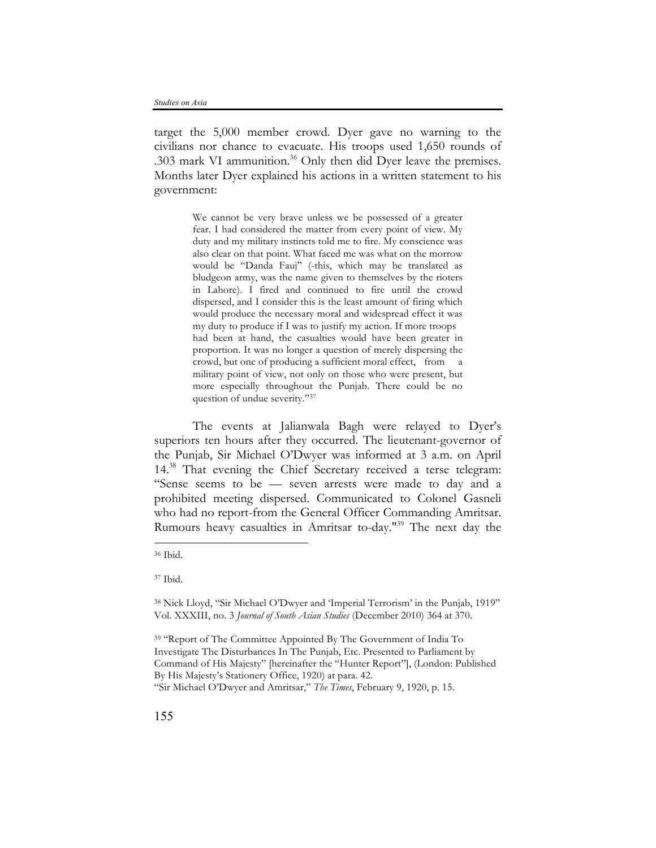target the 5,000 member crowd. Dyer gave no warning to the civilians nor chance to evacuate. His troops used 1,650 rounds of .303 mark VI ammunition.<sup>36</sup> Only then did Dyer leave the premises. Months later Dyer explained his actions in a written statement to his government:

> We cannot be very brave unless we be possessed of a greater fear. I had considered the matter from every point of view. My duty and my military instincts told me to fire. My conscience was also clear on that point. What faced me was what on the morrow would be "Danda Fauj" (-this, which may be translated as bludgeon army, was the name given to themselves by the rioters in Lahore). I fired and continued to fire until the crowd dispersed, and I consider this is the least amount of firing which would produce the necessary moral and widespread effect it was my duty to produce if I was to justify my action. If more troops had been at hand, the casualties would have been greater in proportion. It was no longer a question of merely dispersing the crowd, but one of producing a sufficient moral effect, from a military point of view, not only on those who were present, but more especially throughout the Punjab. There could be no question of undue severity."37

The events at Jalianwala Bagh were relayed to Dyer's superiors ten hours after they occurred. The lieutenant-governor of the Punjab, Sir Michael O'Dwyer was informed at 3 a.m. on April 14<sup>.38</sup> That evening the Chief Secretary received a terse telegram: "Sense seems to be — seven arrests were made to day and a prohibited meeting dispersed. Communicated to Colonel Gasneli who had no report-from the General Officer Commanding Amritsar. Rumours heavy casualties in Amritsar to-day."<sup>39</sup> The next day the

<sup>36</sup> Ibid.

<sup>37</sup> Ibid.

<sup>38</sup> Nick Lloyd, "Sir Michael O'Dwyer and 'Imperial Terrorism' in the Punjab, 1919" Vol. XXXIII, no. 3 *Journal of South Asian Studies* (December 2010) 364 at 370.

<sup>&</sup>lt;sup>39</sup> "Report of The Committee Appointed By The Government of India To Investigate The Disturbances In The Punjab, Etc. Presented to Parliament by Command of His Majesty" [hereinafter the "Hunter Report"], (London: Published By His Majesty's Stationery Office, 1920) at para. 42.

<sup>&</sup>quot;Sir Michael O'Dwyer and Amritsar," *The Times*, February 9, 1920, p. 15.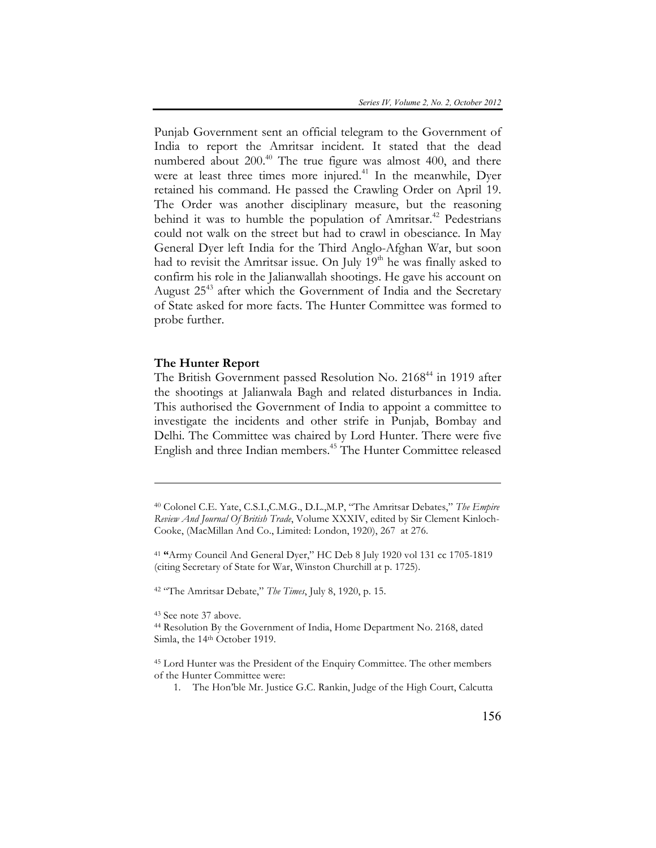Punjab Government sent an official telegram to the Government of India to report the Amritsar incident. It stated that the dead numbered about  $200^{40}$  The true figure was almost 400, and there were at least three times more injured.<sup>41</sup> In the meanwhile, Dyer retained his command. He passed the Crawling Order on April 19. The Order was another disciplinary measure, but the reasoning behind it was to humble the population of Amritsar.<sup>42</sup> Pedestrians could not walk on the street but had to crawl in obesciance. In May General Dyer left India for the Third Anglo-Afghan War, but soon had to revisit the Amritsar issue. On July  $19<sup>th</sup>$  he was finally asked to confirm his role in the Jalianwallah shootings. He gave his account on August  $25^{43}$  after which the Government of India and the Secretary of State asked for more facts. The Hunter Committee was formed to probe further.

#### **The Hunter Report**

The British Government passed Resolution No. 2168<sup>44</sup> in 1919 after the shootings at Jalianwala Bagh and related disturbances in India. This authorised the Government of India to appoint a committee to investigate the incidents and other strife in Punjab, Bombay and Delhi. The Committee was chaired by Lord Hunter. There were five English and three Indian members.<sup>45</sup> The Hunter Committee released

<sup>42</sup> "The Amritsar Debate," *The Times*, July 8, 1920, p. 15.

<sup>43</sup> See note 37 above.

<sup>40</sup> Colonel C.E. Yate, C.S.I.,C.M.G., D.L.,M.P, "The Amritsar Debates," *The Empire Review And Journal Of British Trade*, Volume XXXIV, edited by Sir Clement Kinloch-Cooke, (MacMillan And Co., Limited: London, 1920), 267 at 276.

<sup>41</sup> **"**Army Council And General Dyer," HC Deb 8 July 1920 vol 131 cc 1705-1819 (citing Secretary of State for War, Winston Churchill at p. 1725).

<sup>44</sup> Resolution By the Government of India, Home Department No. 2168, dated Simla, the 14<sup>th</sup> October 1919.

<sup>45</sup> Lord Hunter was the President of the Enquiry Committee. The other members of the Hunter Committee were:

<sup>1.</sup> The Hon'ble Mr. Justice G.C. Rankin, Judge of the High Court, Calcutta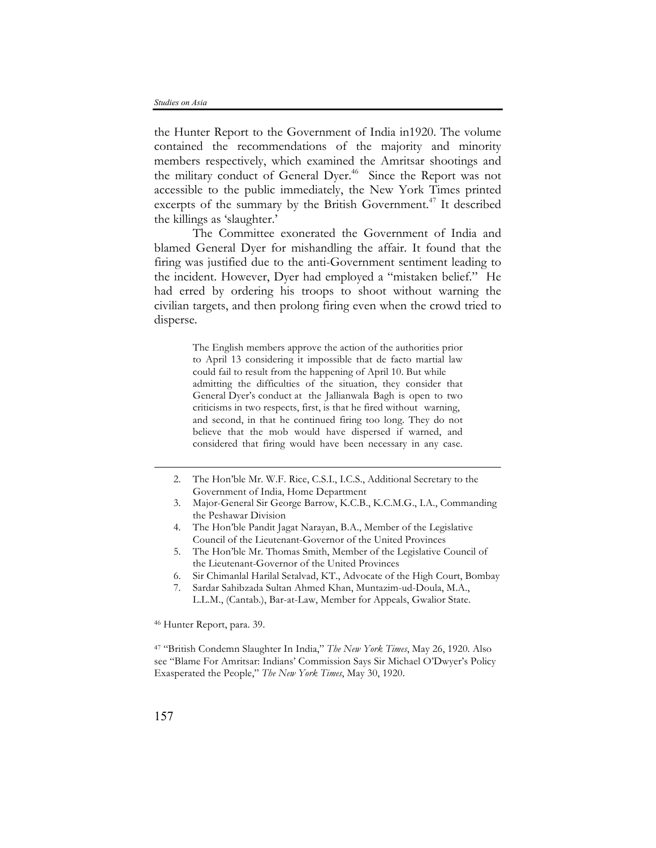the Hunter Report to the Government of India in1920. The volume contained the recommendations of the majority and minority members respectively, which examined the Amritsar shootings and the military conduct of General Dyer.<sup>46</sup> Since the Report was not accessible to the public immediately, the New York Times printed excerpts of the summary by the British Government.<sup>47</sup> It described the killings as 'slaughter.'

The Committee exonerated the Government of India and blamed General Dyer for mishandling the affair. It found that the firing was justified due to the anti-Government sentiment leading to the incident. However, Dyer had employed a "mistaken belief." He had erred by ordering his troops to shoot without warning the civilian targets, and then prolong firing even when the crowd tried to disperse.

> The English members approve the action of the authorities prior to April 13 considering it impossible that de facto martial law could fail to result from the happening of April 10. But while admitting the difficulties of the situation, they consider that General Dyer's conduct at the Jallianwala Bagh is open to two criticisms in two respects, first, is that he fired without warning, and second, in that he continued firing too long. They do not believe that the mob would have dispersed if warned, and considered that firing would have been necessary in any case.

- 2. The Hon'ble Mr. W.F. Rice, C.S.I., I.C.S., Additional Secretary to the Government of India, Home Department
- 3. Major-General Sir George Barrow, K.C.B., K.C.M.G., I.A., Commanding the Peshawar Division
- 4. The Hon'ble Pandit Jagat Narayan, B.A., Member of the Legislative Council of the Lieutenant-Governor of the United Provinces
- 5. The Hon'ble Mr. Thomas Smith, Member of the Legislative Council of the Lieutenant-Governor of the United Provinces
- 6. Sir Chimanlal Harilal Setalvad, KT., Advocate of the High Court, Bombay
- 7. Sardar Sahibzada Sultan Ahmed Khan, Muntazim-ud-Doula, M.A., L.L.M., (Cantab.), Bar-at-Law, Member for Appeals, Gwalior State.

<sup>46</sup> Hunter Report, para. 39.

<sup>47</sup> "British Condemn Slaughter In India," *The New York Times*, May 26, 1920. Also see "Blame For Amritsar: Indians' Commission Says Sir Michael O'Dwyer's Policy Exasperated the People," *The New York Times*, May 30, 1920.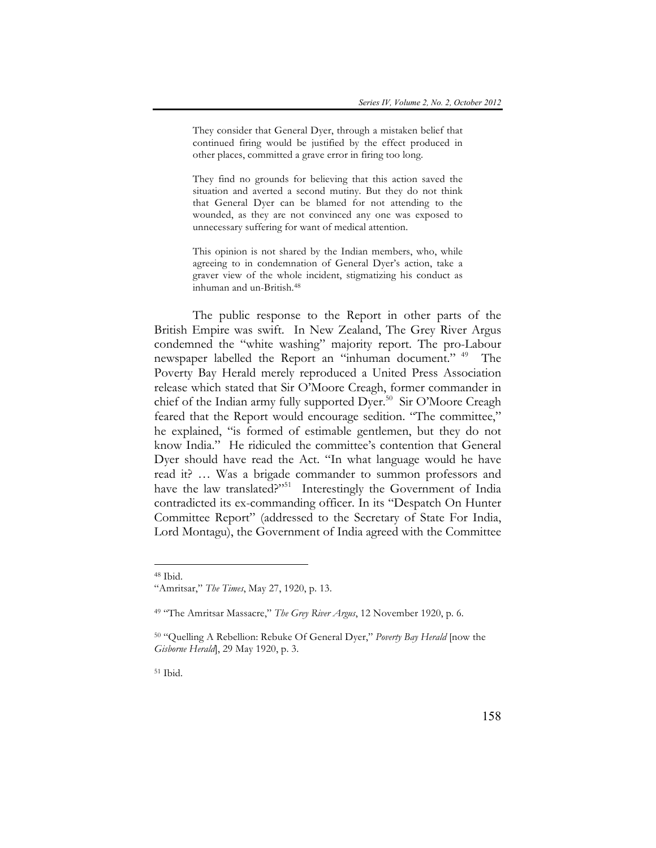They consider that General Dyer, through a mistaken belief that continued firing would be justified by the effect produced in other places, committed a grave error in firing too long.

They find no grounds for believing that this action saved the situation and averted a second mutiny. But they do not think that General Dyer can be blamed for not attending to the wounded, as they are not convinced any one was exposed to unnecessary suffering for want of medical attention.

This opinion is not shared by the Indian members, who, while agreeing to in condemnation of General Dyer's action, take a graver view of the whole incident, stigmatizing his conduct as inhuman and un-British.48

The public response to the Report in other parts of the British Empire was swift. In New Zealand, The Grey River Argus condemned the "white washing" majority report. The pro-Labour newspaper labelled the Report an "inhuman document." <sup>49</sup> The Poverty Bay Herald merely reproduced a United Press Association release which stated that Sir O'Moore Creagh, former commander in chief of the Indian army fully supported Dyer.<sup>50</sup> Sir O'Moore Creagh feared that the Report would encourage sedition. "The committee," he explained, "is formed of estimable gentlemen, but they do not know India." He ridiculed the committee's contention that General Dyer should have read the Act. "In what language would he have read it? … Was a brigade commander to summon professors and have the law translated?"<sup>51</sup> Interestingly the Government of India contradicted its ex-commanding officer. In its "Despatch On Hunter Committee Report" (addressed to the Secretary of State For India, Lord Montagu), the Government of India agreed with the Committee

 $\overline{a}$ 

<sup>51</sup> Ibid.

<sup>48</sup> Ibid.

<sup>&</sup>quot;Amritsar," *The Times*, May 27, 1920, p. 13.

<sup>49</sup> "The Amritsar Massacre," *The Grey River Argus*, 12 November 1920, p. 6.

<sup>50</sup> "Quelling A Rebellion: Rebuke Of General Dyer," *Poverty Bay Herald* [now the *Gisborne Herald*], 29 May 1920, p. 3.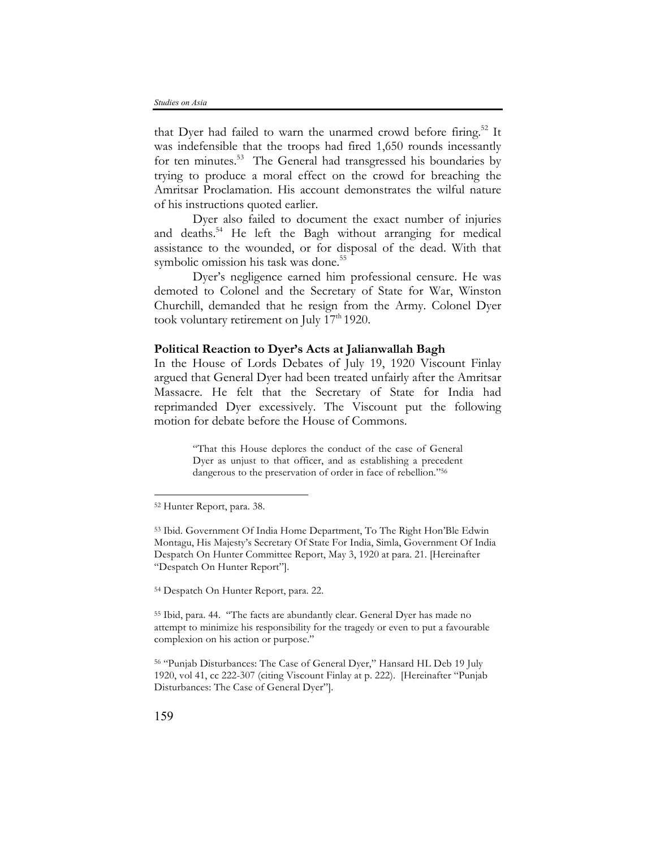that Dyer had failed to warn the unarmed crowd before firing.<sup>52</sup> It was indefensible that the troops had fired 1,650 rounds incessantly for ten minutes.<sup>53</sup> The General had transgressed his boundaries by trying to produce a moral effect on the crowd for breaching the Amritsar Proclamation. His account demonstrates the wilful nature of his instructions quoted earlier.

Dyer also failed to document the exact number of injuries and deaths.<sup>54</sup> He left the Bagh without arranging for medical assistance to the wounded, or for disposal of the dead. With that symbolic omission his task was done.<sup>55</sup>

Dyer's negligence earned him professional censure. He was demoted to Colonel and the Secretary of State for War, Winston Churchill, demanded that he resign from the Army. Colonel Dyer took voluntary retirement on July  $17<sup>th</sup> 1920$ .

# **Political Reaction to Dyer's Acts at Jalianwallah Bagh**

In the House of Lords Debates of July 19, 1920 Viscount Finlay argued that General Dyer had been treated unfairly after the Amritsar Massacre. He felt that the Secretary of State for India had reprimanded Dyer excessively. The Viscount put the following motion for debate before the House of Commons.

> "That this House deplores the conduct of the case of General Dyer as unjust to that officer, and as establishing a precedent dangerous to the preservation of order in face of rebellion."56

<sup>54</sup> Despatch On Hunter Report, para. 22.

<sup>55</sup> Ibid, para. 44. "The facts are abundantly clear. General Dyer has made no attempt to minimize his responsibility for the tragedy or even to put a favourable complexion on his action or purpose."

<sup>56</sup> "Punjab Disturbances: The Case of General Dyer," Hansard HL Deb 19 July 1920, vol 41, cc 222-307 (citing Viscount Finlay at p. 222). [Hereinafter "Punjab Disturbances: The Case of General Dyer"].

<sup>52</sup> Hunter Report, para. 38.

<sup>53</sup> Ibid. Government Of India Home Department, To The Right Hon'Ble Edwin Montagu, His Majesty's Secretary Of State For India, Simla, Government Of India Despatch On Hunter Committee Report, May 3, 1920 at para. 21. [Hereinafter "Despatch On Hunter Report"].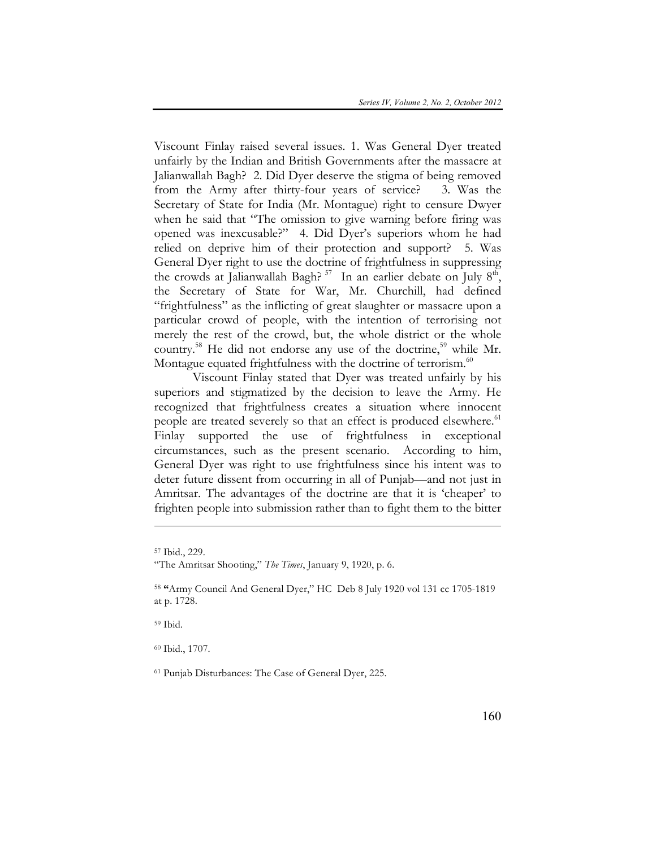Viscount Finlay raised several issues. 1. Was General Dyer treated unfairly by the Indian and British Governments after the massacre at Jalianwallah Bagh? 2. Did Dyer deserve the stigma of being removed from the Army after thirty-four years of service? 3. Was the Secretary of State for India (Mr. Montague) right to censure Dwyer when he said that "The omission to give warning before firing was opened was inexcusable?" 4. Did Dyer's superiors whom he had relied on deprive him of their protection and support? 5. Was General Dyer right to use the doctrine of frightfulness in suppressing the crowds at Jalianwallah Bagh?<sup>57</sup> In an earlier debate on July  $8<sup>th</sup>$ , the Secretary of State for War, Mr. Churchill, had defined "frightfulness" as the inflicting of great slaughter or massacre upon a particular crowd of people, with the intention of terrorising not merely the rest of the crowd, but, the whole district or the whole country.<sup>58</sup> He did not endorse any use of the doctrine,<sup>59</sup> while Mr. Montague equated frightfulness with the doctrine of terrorism. $60$ 

Viscount Finlay stated that Dyer was treated unfairly by his superiors and stigmatized by the decision to leave the Army. He recognized that frightfulness creates a situation where innocent people are treated severely so that an effect is produced elsewhere.<sup>61</sup> Finlay supported the use of frightfulness in exceptional circumstances, such as the present scenario. According to him, General Dyer was right to use frightfulness since his intent was to deter future dissent from occurring in all of Punjab—and not just in Amritsar. The advantages of the doctrine are that it is 'cheaper' to frighten people into submission rather than to fight them to the bitter

 $\overline{a}$ 

<sup>59</sup> Ibid.

<sup>60</sup> Ibid., 1707.

<sup>61</sup> Punjab Disturbances: The Case of General Dyer, 225.

<sup>57</sup> Ibid., 229.

<sup>&</sup>quot;The Amritsar Shooting," *The Times*, January 9, 1920, p. 6.

<sup>58</sup> **"**Army Council And General Dyer," HC Deb 8 July 1920 vol 131 cc 1705-1819 at p. 1728.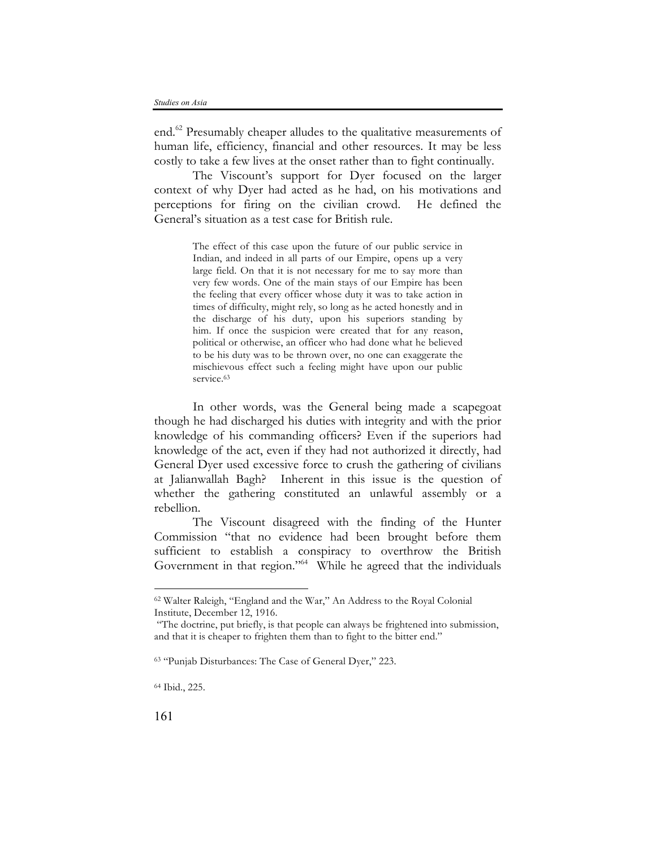end.<sup>62</sup> Presumably cheaper alludes to the qualitative measurements of human life, efficiency, financial and other resources. It may be less costly to take a few lives at the onset rather than to fight continually.

The Viscount's support for Dyer focused on the larger context of why Dyer had acted as he had, on his motivations and perceptions for firing on the civilian crowd. He defined the General's situation as a test case for British rule.

> The effect of this case upon the future of our public service in Indian, and indeed in all parts of our Empire, opens up a very large field. On that it is not necessary for me to say more than very few words. One of the main stays of our Empire has been the feeling that every officer whose duty it was to take action in times of difficulty, might rely, so long as he acted honestly and in the discharge of his duty, upon his superiors standing by him. If once the suspicion were created that for any reason, political or otherwise, an officer who had done what he believed to be his duty was to be thrown over, no one can exaggerate the mischievous effect such a feeling might have upon our public service.<sup>63</sup>

In other words, was the General being made a scapegoat though he had discharged his duties with integrity and with the prior knowledge of his commanding officers? Even if the superiors had knowledge of the act, even if they had not authorized it directly, had General Dyer used excessive force to crush the gathering of civilians at Jalianwallah Bagh? Inherent in this issue is the question of whether the gathering constituted an unlawful assembly or a rebellion.

The Viscount disagreed with the finding of the Hunter Commission "that no evidence had been brought before them sufficient to establish a conspiracy to overthrow the British Government in that region."<sup>64</sup> While he agreed that the individuals

<sup>62</sup> Walter Raleigh, "England and the War," An Address to the Royal Colonial Institute, December 12, 1916.

<sup>&</sup>quot;The doctrine, put briefly, is that people can always be frightened into submission, and that it is cheaper to frighten them than to fight to the bitter end."

<sup>63</sup> "Punjab Disturbances: The Case of General Dyer," 223.

<sup>64</sup> Ibid., 225.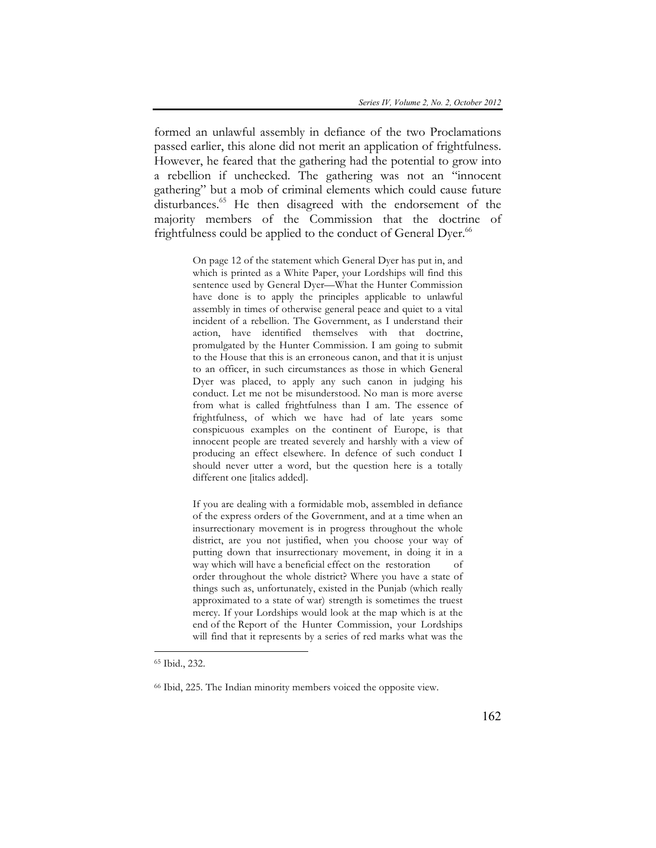formed an unlawful assembly in defiance of the two Proclamations passed earlier, this alone did not merit an application of frightfulness. However, he feared that the gathering had the potential to grow into a rebellion if unchecked. The gathering was not an "innocent gathering" but a mob of criminal elements which could cause future disturbances.<sup>65</sup> He then disagreed with the endorsement of the majority members of the Commission that the doctrine of frightfulness could be applied to the conduct of General Dyer.<sup>66</sup>

> On page 12 of the statement which General Dyer has put in, and which is printed as a White Paper, your Lordships will find this sentence used by General Dyer—What the Hunter Commission have done is to apply the principles applicable to unlawful assembly in times of otherwise general peace and quiet to a vital incident of a rebellion. The Government, as I understand their action, have identified themselves with that doctrine, promulgated by the Hunter Commission. I am going to submit to the House that this is an erroneous canon, and that it is unjust to an officer, in such circumstances as those in which General Dyer was placed, to apply any such canon in judging his conduct. Let me not be misunderstood. No man is more averse from what is called frightfulness than I am. The essence of frightfulness, of which we have had of late years some conspicuous examples on the continent of Europe, is that innocent people are treated severely and harshly with a view of producing an effect elsewhere. In defence of such conduct I should never utter a word, but the question here is a totally different one [italics added].

> If you are dealing with a formidable mob, assembled in defiance of the express orders of the Government, and at a time when an insurrectionary movement is in progress throughout the whole district, are you not justified, when you choose your way of putting down that insurrectionary movement, in doing it in a way which will have a beneficial effect on the restoration of order throughout the whole district? Where you have a state of things such as, unfortunately, existed in the Punjab (which really approximated to a state of war) strength is sometimes the truest mercy. If your Lordships would look at the map which is at the end of the Report of the Hunter Commission, your Lordships will find that it represents by a series of red marks what was the

<sup>65</sup> Ibid., 232.

<sup>66</sup> Ibid, 225. The Indian minority members voiced the opposite view.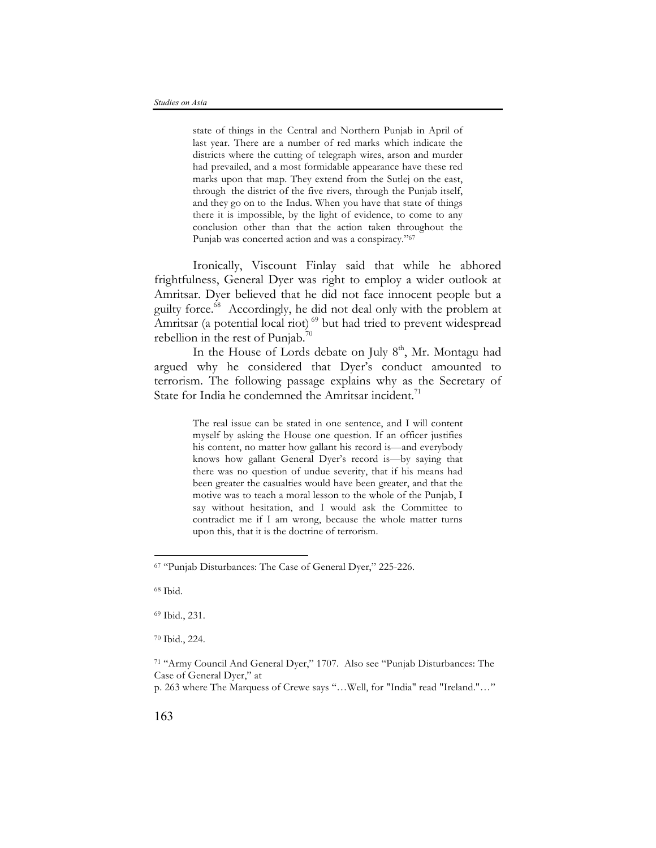state of things in the Central and Northern Punjab in April of last year. There are a number of red marks which indicate the districts where the cutting of telegraph wires, arson and murder had prevailed, and a most formidable appearance have these red marks upon that map. They extend from the Sutlej on the east, through the district of the five rivers, through the Punjab itself, and they go on to the Indus. When you have that state of things there it is impossible, by the light of evidence, to come to any conclusion other than that the action taken throughout the Punjab was concerted action and was a conspiracy."67

Ironically, Viscount Finlay said that while he abhored frightfulness, General Dyer was right to employ a wider outlook at Amritsar. Dyer believed that he did not face innocent people but a guilty force.68 Accordingly, he did not deal only with the problem at Amritsar (a potential local riot)<sup>69</sup> but had tried to prevent widespread rebellion in the rest of Punjab.<sup>70</sup>

In the House of Lords debate on July  $8<sup>th</sup>$ , Mr. Montagu had argued why he considered that Dyer's conduct amounted to terrorism. The following passage explains why as the Secretary of State for India he condemned the Amritsar incident.<sup>71</sup>

> The real issue can be stated in one sentence, and I will content myself by asking the House one question. If an officer justifies his content, no matter how gallant his record is—and everybody knows how gallant General Dyer's record is—by saying that there was no question of undue severity, that if his means had been greater the casualties would have been greater, and that the motive was to teach a moral lesson to the whole of the Punjab, I say without hesitation, and I would ask the Committee to contradict me if I am wrong, because the whole matter turns upon this, that it is the doctrine of terrorism.

<sup>68</sup> Ibid.

 $\overline{a}$ 

<sup>69</sup> Ibid., 231.

<sup>67</sup> "Punjab Disturbances: The Case of General Dyer," 225-226.

<sup>70</sup> Ibid., 224.

<sup>71</sup> "Army Council And General Dyer," 1707. Also see "Punjab Disturbances: The Case of General Dyer," at

p. 263 where The Marquess of Crewe says "…Well, for "India" read "Ireland."…"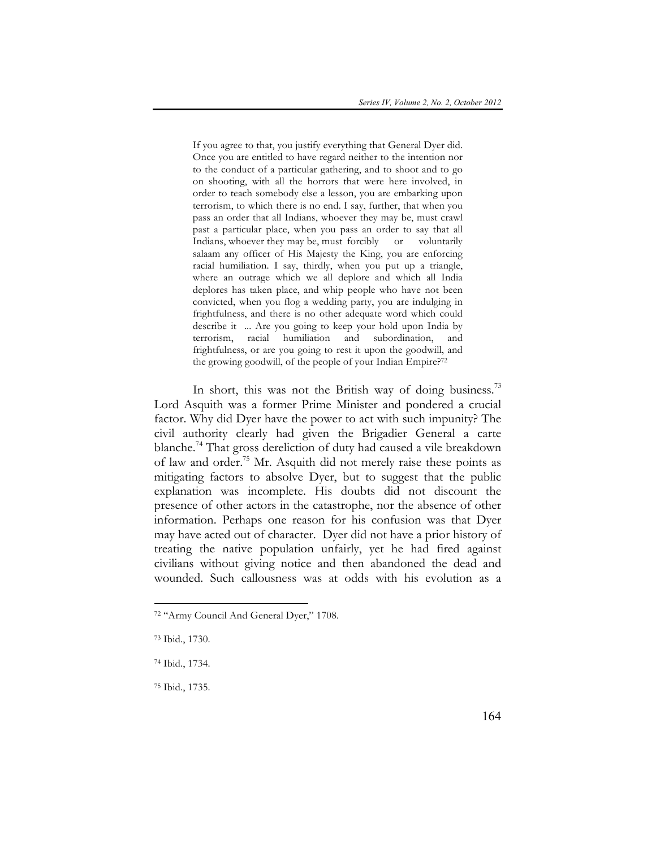If you agree to that, you justify everything that General Dyer did. Once you are entitled to have regard neither to the intention nor to the conduct of a particular gathering, and to shoot and to go on shooting, with all the horrors that were here involved, in order to teach somebody else a lesson, you are embarking upon terrorism, to which there is no end. I say, further, that when you pass an order that all Indians, whoever they may be, must crawl past a particular place, when you pass an order to say that all Indians, whoever they may be, must forcibly or voluntarily salaam any officer of His Majesty the King, you are enforcing racial humiliation. I say, thirdly, when you put up a triangle, where an outrage which we all deplore and which all India deplores has taken place, and whip people who have not been convicted, when you flog a wedding party, you are indulging in frightfulness, and there is no other adequate word which could describe it ... Are you going to keep your hold upon India by terrorism, racial humiliation and subordination, and frightfulness, or are you going to rest it upon the goodwill, and the growing goodwill, of the people of your Indian Empire?72

In short, this was not the British way of doing business.<sup>73</sup> Lord Asquith was a former Prime Minister and pondered a crucial factor. Why did Dyer have the power to act with such impunity? The civil authority clearly had given the Brigadier General a carte blanche.<sup>74</sup> That gross dereliction of duty had caused a vile breakdown of law and order.75 Mr. Asquith did not merely raise these points as mitigating factors to absolve Dyer, but to suggest that the public explanation was incomplete. His doubts did not discount the presence of other actors in the catastrophe, nor the absence of other information. Perhaps one reason for his confusion was that Dyer may have acted out of character. Dyer did not have a prior history of treating the native population unfairly, yet he had fired against civilians without giving notice and then abandoned the dead and wounded. Such callousness was at odds with his evolution as a

 $\overline{a}$ 

<sup>75</sup> Ibid., 1735.

<sup>72</sup> "Army Council And General Dyer," 1708.

<sup>73</sup> Ibid., 1730.

<sup>74</sup> Ibid., 1734.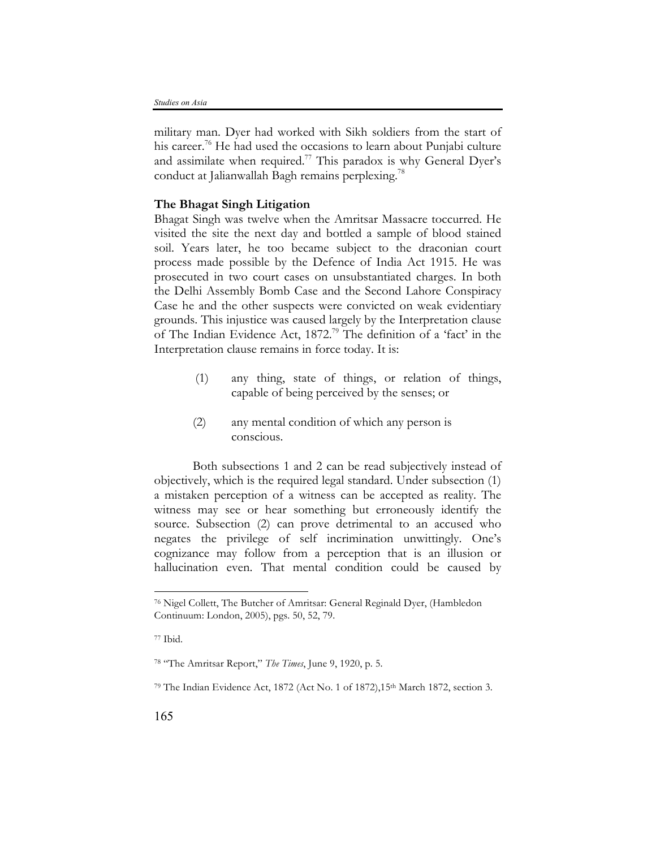military man. Dyer had worked with Sikh soldiers from the start of his career.<sup>76</sup> He had used the occasions to learn about Punjabi culture and assimilate when required.<sup>77</sup> This paradox is why General Dyer's conduct at Jalianwallah Bagh remains perplexing.<sup>78</sup>

# **The Bhagat Singh Litigation**

Bhagat Singh was twelve when the Amritsar Massacre toccurred. He visited the site the next day and bottled a sample of blood stained soil. Years later, he too became subject to the draconian court process made possible by the Defence of India Act 1915. He was prosecuted in two court cases on unsubstantiated charges. In both the Delhi Assembly Bomb Case and the Second Lahore Conspiracy Case he and the other suspects were convicted on weak evidentiary grounds. This injustice was caused largely by the Interpretation clause of The Indian Evidence Act, 1872. <sup>79</sup> The definition of a 'fact' in the Interpretation clause remains in force today. It is:

- (1) any thing, state of things, or relation of things, capable of being perceived by the senses; or
- (2) any mental condition of which any person is conscious.

Both subsections 1 and 2 can be read subjectively instead of objectively, which is the required legal standard. Under subsection (1) a mistaken perception of a witness can be accepted as reality. The witness may see or hear something but erroneously identify the source. Subsection (2) can prove detrimental to an accused who negates the privilege of self incrimination unwittingly. One's cognizance may follow from a perception that is an illusion or hallucination even. That mental condition could be caused by

<sup>76</sup> Nigel Collett, The Butcher of Amritsar: General Reginald Dyer, (Hambledon Continuum: London, 2005), pgs. 50, 52, 79.

<sup>77</sup> Ibid.

<sup>78</sup> "The Amritsar Report," *The Times*, June 9, 1920, p. 5.

<sup>79</sup> The Indian Evidence Act, 1872 (Act No. 1 of 1872),15th March 1872, section 3.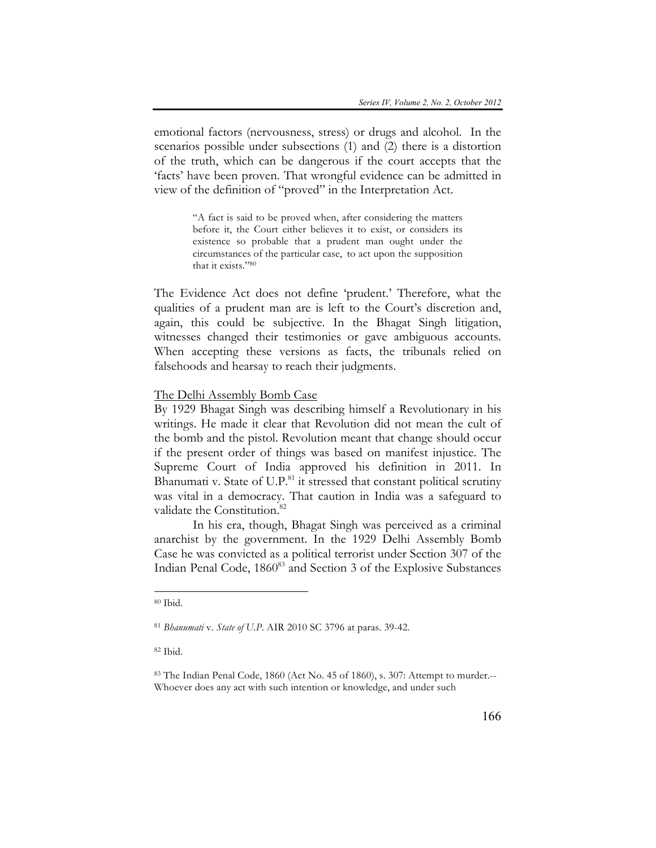emotional factors (nervousness, stress) or drugs and alcohol. In the scenarios possible under subsections (1) and (2) there is a distortion of the truth, which can be dangerous if the court accepts that the 'facts' have been proven. That wrongful evidence can be admitted in view of the definition of "proved" in the Interpretation Act.

> "A fact is said to be proved when, after considering the matters before it, the Court either believes it to exist, or considers its existence so probable that a prudent man ought under the circumstances of the particular case, to act upon the supposition that it exists."80

The Evidence Act does not define 'prudent.' Therefore, what the qualities of a prudent man are is left to the Court's discretion and, again, this could be subjective. In the Bhagat Singh litigation, witnesses changed their testimonies or gave ambiguous accounts. When accepting these versions as facts, the tribunals relied on falsehoods and hearsay to reach their judgments.

### The Delhi Assembly Bomb Case

By 1929 Bhagat Singh was describing himself a Revolutionary in his writings. He made it clear that Revolution did not mean the cult of the bomb and the pistol. Revolution meant that change should occur if the present order of things was based on manifest injustice. The Supreme Court of India approved his definition in 2011. In Bhanumati v. State of  $U.P.^81$  it stressed that constant political scrutiny was vital in a democracy. That caution in India was a safeguard to validate the Constitution.<sup>82</sup>

In his era, though, Bhagat Singh was perceived as a criminal anarchist by the government. In the 1929 Delhi Assembly Bomb Case he was convicted as a political terrorist under Section 307 of the Indian Penal Code, 1860<sup>83</sup> and Section 3 of the Explosive Substances

 $\overline{a}$ 

 $82$  Ibid.

<sup>80</sup> Ibid.

<sup>81</sup> *Bhanumati* v. *State of U.P*. AIR 2010 SC 3796 at paras. 39-42.

<sup>83</sup> The Indian Penal Code, 1860 (Act No. 45 of 1860), s. 307: Attempt to murder.-- Whoever does any act with such intention or knowledge, and under such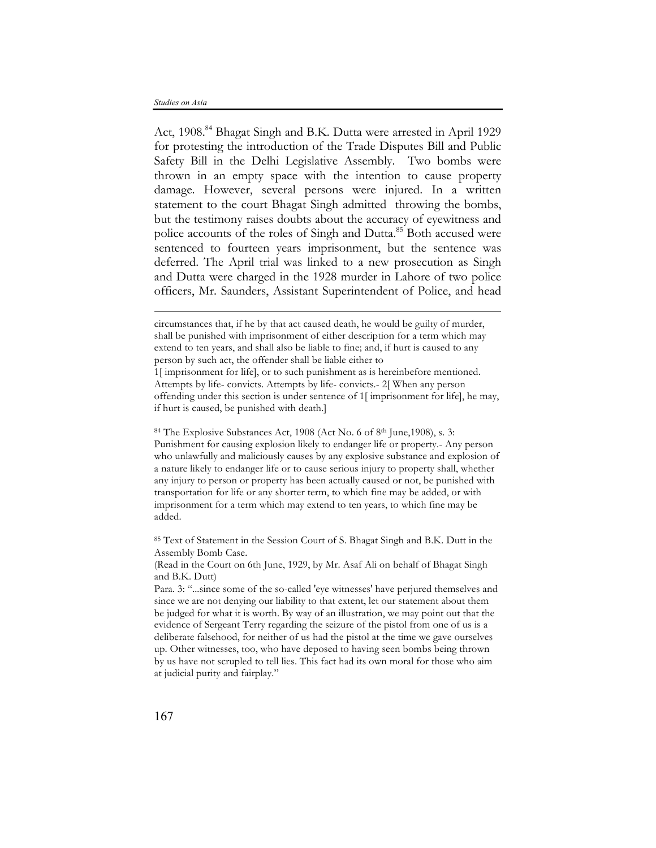$\overline{a}$ 

Act, 1908.<sup>84</sup> Bhagat Singh and B.K. Dutta were arrested in April 1929 for protesting the introduction of the Trade Disputes Bill and Public Safety Bill in the Delhi Legislative Assembly. Two bombs were thrown in an empty space with the intention to cause property damage. However, several persons were injured. In a written statement to the court Bhagat Singh admitted throwing the bombs, but the testimony raises doubts about the accuracy of eyewitness and police accounts of the roles of Singh and Dutta.<sup>85</sup> Both accused were sentenced to fourteen years imprisonment, but the sentence was deferred. The April trial was linked to a new prosecution as Singh and Dutta were charged in the 1928 murder in Lahore of two police officers, Mr. Saunders, Assistant Superintendent of Police, and head

<sup>84</sup> The Explosive Substances Act, 1908 (Act No. 6 of 8th June,1908), s. 3: Punishment for causing explosion likely to endanger life or property.- Any person who unlawfully and maliciously causes by any explosive substance and explosion of a nature likely to endanger life or to cause serious injury to property shall, whether any injury to person or property has been actually caused or not, be punished with transportation for life or any shorter term, to which fine may be added, or with imprisonment for a term which may extend to ten years, to which fine may be added.

<sup>85</sup> Text of Statement in the Session Court of S. Bhagat Singh and B.K. Dutt in the Assembly Bomb Case.

(Read in the Court on 6th June, 1929, by Mr. Asaf Ali on behalf of Bhagat Singh and B.K. Dutt)

Para. 3: "...since some of the so-called 'eye witnesses' have perjured themselves and since we are not denying our liability to that extent, let our statement about them be judged for what it is worth. By way of an illustration, we may point out that the evidence of Sergeant Terry regarding the seizure of the pistol from one of us is a deliberate falsehood, for neither of us had the pistol at the time we gave ourselves up. Other witnesses, too, who have deposed to having seen bombs being thrown by us have not scrupled to tell lies. This fact had its own moral for those who aim at judicial purity and fairplay."

circumstances that, if he by that act caused death, he would be guilty of murder, shall be punished with imprisonment of either description for a term which may extend to ten years, and shall also be liable to fine; and, if hurt is caused to any person by such act, the offender shall be liable either to

<sup>1[</sup> imprisonment for life], or to such punishment as is hereinbefore mentioned. Attempts by life- convicts. Attempts by life- convicts.- 2[ When any person offending under this section is under sentence of 1[ imprisonment for life], he may, if hurt is caused, be punished with death.]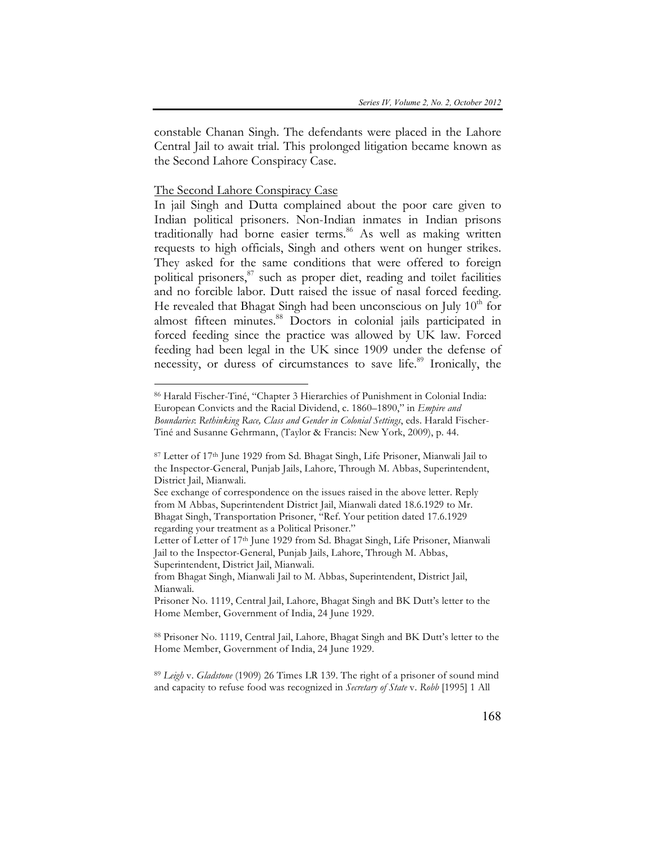constable Chanan Singh. The defendants were placed in the Lahore Central Jail to await trial. This prolonged litigation became known as the Second Lahore Conspiracy Case.

# The Second Lahore Conspiracy Case

 $\overline{a}$ 

In jail Singh and Dutta complained about the poor care given to Indian political prisoners. Non-Indian inmates in Indian prisons traditionally had borne easier terms.<sup>86</sup> As well as making written requests to high officials, Singh and others went on hunger strikes. They asked for the same conditions that were offered to foreign political prisoners,<sup>87</sup> such as proper diet, reading and toilet facilities and no forcible labor. Dutt raised the issue of nasal forced feeding. He revealed that Bhagat Singh had been unconscious on July  $10<sup>th</sup>$  for almost fifteen minutes. <sup>88</sup> Doctors in colonial jails participated in forced feeding since the practice was allowed by UK law. Forced feeding had been legal in the UK since 1909 under the defense of necessity, or duress of circumstances to save life. <sup>89</sup> Ironically, the

<sup>86</sup> Harald Fischer-Tiné, "Chapter 3 Hierarchies of Punishment in Colonial India: European Convicts and the Racial Dividend, c. 1860–1890," in *Empire and Boundaries*: *Rethinking Race, Class and Gender in Colonial Settings*, eds. Harald Fischer-Tiné and Susanne Gehrmann, (Taylor & Francis: New York, 2009), p. 44.

<sup>87</sup> Letter of 17th June 1929 from Sd. Bhagat Singh, Life Prisoner, Mianwali Jail to the Inspector-General, Punjab Jails, Lahore, Through M. Abbas, Superintendent, District Jail, Mianwali.

See exchange of correspondence on the issues raised in the above letter. Reply from M Abbas, Superintendent District Jail, Mianwali dated 18.6.1929 to Mr. Bhagat Singh, Transportation Prisoner, "Ref. Your petition dated 17.6.1929 regarding your treatment as a Political Prisoner."

Letter of Letter of 17th June 1929 from Sd. Bhagat Singh, Life Prisoner, Mianwali Jail to the Inspector-General, Punjab Jails, Lahore, Through M. Abbas, Superintendent, District Jail, Mianwali.

from Bhagat Singh, Mianwali Jail to M. Abbas, Superintendent, District Jail, Mianwali.

Prisoner No. 1119, Central Jail, Lahore, Bhagat Singh and BK Dutt's letter to the Home Member, Government of India, 24 June 1929.

<sup>88</sup> Prisoner No. 1119, Central Jail, Lahore, Bhagat Singh and BK Dutt's letter to the Home Member, Government of India, 24 June 1929.

<sup>89</sup> *Leigh* v. *Gladstone* (1909) 26 Times LR 139. The right of a prisoner of sound mind and capacity to refuse food was recognized in *Secretary of State* v. *Robb* [1995] 1 All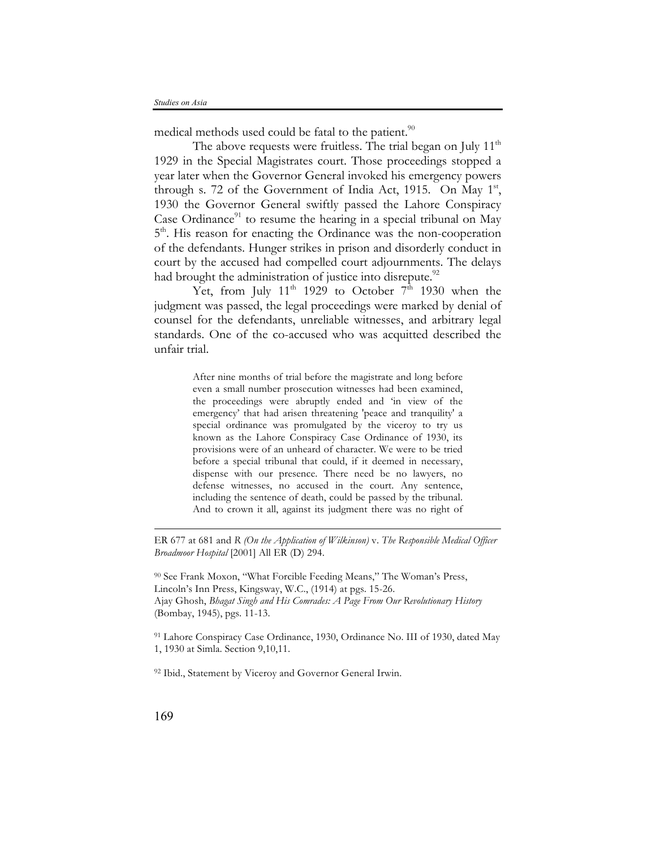medical methods used could be fatal to the patient.<sup>90</sup>

The above requests were fruitless. The trial began on July  $11<sup>th</sup>$ 1929 in the Special Magistrates court. Those proceedings stopped a year later when the Governor General invoked his emergency powers through s. 72 of the Government of India Act, 1915. On May  $1<sup>st</sup>$ , 1930 the Governor General swiftly passed the Lahore Conspiracy Case Ordinance<sup>91</sup> to resume the hearing in a special tribunal on May 5<sup>th</sup>. His reason for enacting the Ordinance was the non-cooperation of the defendants. Hunger strikes in prison and disorderly conduct in court by the accused had compelled court adjournments. The delays had brought the administration of justice into disrepute.<sup>92</sup>

Yet, from July 11<sup>th</sup> 1929 to October 7<sup>th</sup> 1930 when the judgment was passed, the legal proceedings were marked by denial of counsel for the defendants, unreliable witnesses, and arbitrary legal standards. One of the co-accused who was acquitted described the unfair trial.

> After nine months of trial before the magistrate and long before even a small number prosecution witnesses had been examined, the proceedings were abruptly ended and 'in view of the emergency' that had arisen threatening 'peace and tranquility' a special ordinance was promulgated by the viceroy to try us known as the Lahore Conspiracy Case Ordinance of 1930, its provisions were of an unheard of character. We were to be tried before a special tribunal that could, if it deemed in necessary, dispense with our presence. There need be no lawyers, no defense witnesses, no accused in the court. Any sentence, including the sentence of death, could be passed by the tribunal. And to crown it all, against its judgment there was no right of

ER 677 at 681 and *R (On the Application of Wilkinson)* v. *The Responsible Medical Officer Broadmoor Hospital* [2001] All ER (D) 294.

<sup>90</sup> See Frank Moxon, "What Forcible Feeding Means," The Woman's Press, Lincoln's Inn Press, Kingsway, W.C., (1914) at pgs. 15-26. Ajay Ghosh, *Bhagat Singh and His Comrades: A Page From Our Revolutionary History*  (Bombay, 1945), pgs. 11-13.

<sup>91</sup> Lahore Conspiracy Case Ordinance, 1930, Ordinance No. III of 1930, dated May 1, 1930 at Simla. Section 9,10,11.

<sup>92</sup> Ibid., Statement by Viceroy and Governor General Irwin.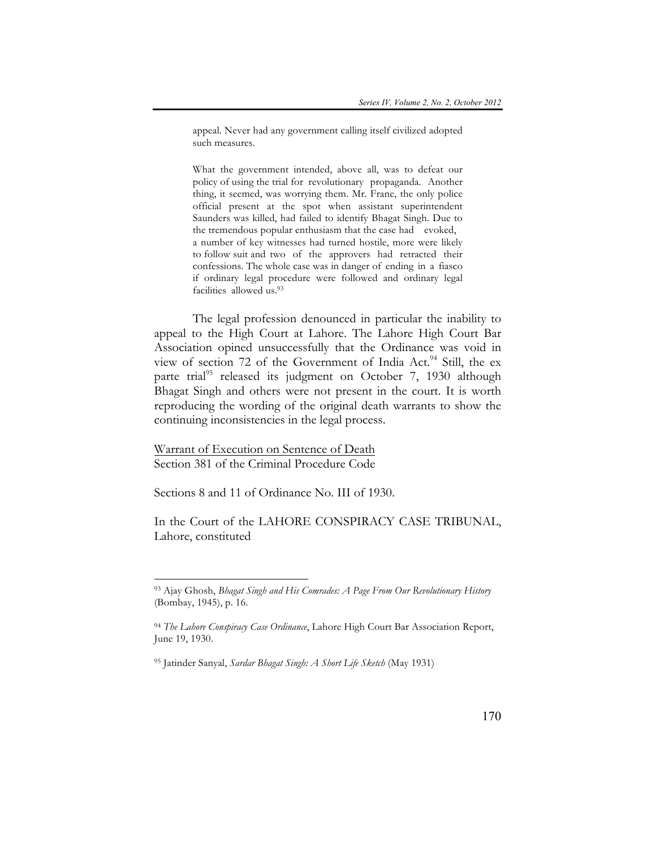appeal. Never had any government calling itself civilized adopted such measures.

What the government intended, above all, was to defeat our policy of using the trial for revolutionary propaganda. Another thing, it seemed, was worrying them. Mr. Frane, the only police official present at the spot when assistant superintendent Saunders was killed, had failed to identify Bhagat Singh. Due to the tremendous popular enthusiasm that the case had evoked, a number of key witnesses had turned hostile, more were likely to follow suit and two of the approvers had retracted their confessions. The whole case was in danger of ending in a fiasco if ordinary legal procedure were followed and ordinary legal facilities allowed us.<sup>93</sup>

The legal profession denounced in particular the inability to appeal to the High Court at Lahore. The Lahore High Court Bar Association opined unsuccessfully that the Ordinance was void in view of section 72 of the Government of India Act.<sup>94</sup> Still, the ex parte trial<sup>95</sup> released its judgment on October 7, 1930 although Bhagat Singh and others were not present in the court. It is worth reproducing the wording of the original death warrants to show the continuing inconsistencies in the legal process.

Warrant of Execution on Sentence of Death Section 381 of the Criminal Procedure Code

 $\overline{a}$ 

Sections 8 and 11 of Ordinance No. III of 1930.

In the Court of the LAHORE CONSPIRACY CASE TRIBUNAL, Lahore, constituted

<sup>93</sup> Ajay Ghosh, *Bhagat Singh and His Comrades: A Page From Our Revolutionary History*  (Bombay, 1945), p. 16.

<sup>94</sup> *The Lahore Conspiracy Case Ordinance*, Lahore High Court Bar Association Report, June 19, 1930.

<sup>95</sup> Jatinder Sanyal, *Sardar Bhagat Singh: A Short Life Sketch* (May 1931)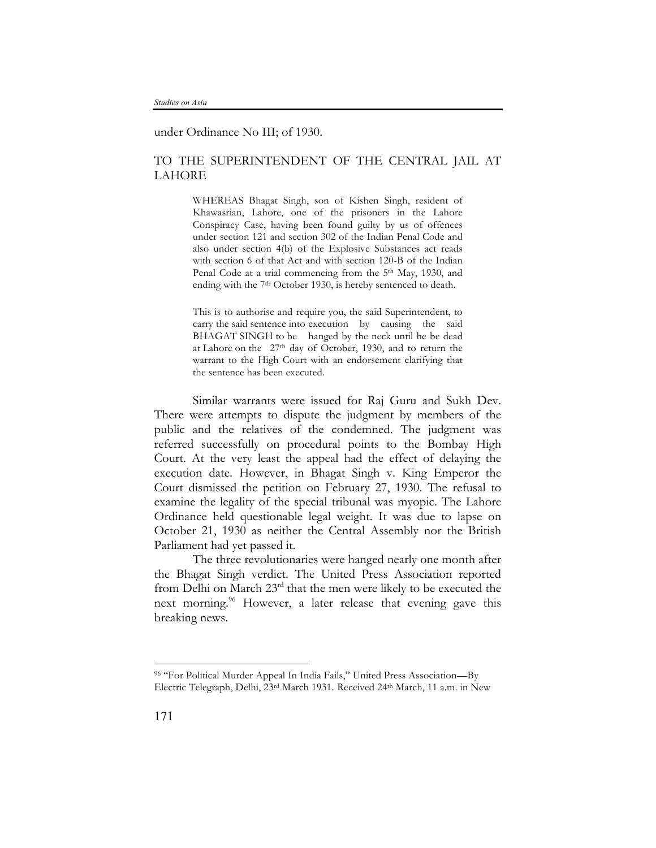under Ordinance No III; of 1930.

# TO THE SUPERINTENDENT OF THE CENTRAL JAIL AT LAHORE

WHEREAS Bhagat Singh, son of Kishen Singh, resident of Khawasrian, Lahore, one of the prisoners in the Lahore Conspiracy Case, having been found guilty by us of offences under section 121 and section 302 of the Indian Penal Code and also under section 4(b) of the Explosive Substances act reads with section 6 of that Act and with section 120-B of the Indian Penal Code at a trial commencing from the 5<sup>th</sup> May, 1930, and ending with the 7<sup>th</sup> October 1930, is hereby sentenced to death.

This is to authorise and require you, the said Superintendent, to carry the said sentence into execution by causing the said BHAGAT SINGH to be hanged by the neck until he be dead at Lahore on the 27th day of October, 1930, and to return the warrant to the High Court with an endorsement clarifying that the sentence has been executed.

Similar warrants were issued for Raj Guru and Sukh Dev. There were attempts to dispute the judgment by members of the public and the relatives of the condemned. The judgment was referred successfully on procedural points to the Bombay High Court. At the very least the appeal had the effect of delaying the execution date. However, in Bhagat Singh v. King Emperor the Court dismissed the petition on February 27, 1930. The refusal to examine the legality of the special tribunal was myopic. The Lahore Ordinance held questionable legal weight. It was due to lapse on October 21, 1930 as neither the Central Assembly nor the British Parliament had yet passed it.

The three revolutionaries were hanged nearly one month after the Bhagat Singh verdict. The United Press Association reported from Delhi on March  $23<sup>rd</sup>$  that the men were likely to be executed the next morning.<sup>96</sup> However, a later release that evening gave this breaking news.

<sup>96</sup> "For Political Murder Appeal In India Fails," United Press Association—By Electric Telegraph, Delhi, 23rd March 1931. Received 24th March, 11 a.m. in New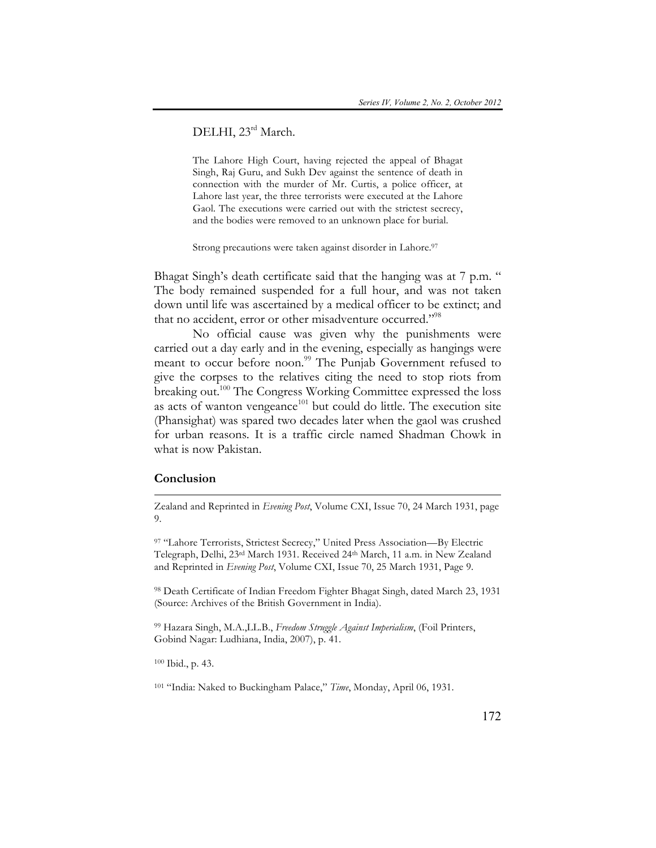# DELHI, 23rd March.

The Lahore High Court, having rejected the appeal of Bhagat Singh, Raj Guru, and Sukh Dev against the sentence of death in connection with the murder of Mr. Curtis, a police officer, at Lahore last year, the three terrorists were executed at the Lahore Gaol. The executions were carried out with the strictest secrecy, and the bodies were removed to an unknown place for burial.

Strong precautions were taken against disorder in Lahore.<sup>97</sup>

Bhagat Singh's death certificate said that the hanging was at 7 p.m. " The body remained suspended for a full hour, and was not taken down until life was ascertained by a medical officer to be extinct; and that no accident, error or other misadventure occurred."<sup>98</sup>

No official cause was given why the punishments were carried out a day early and in the evening, especially as hangings were meant to occur before noon. <sup>99</sup> The Punjab Government refused to give the corpses to the relatives citing the need to stop riots from breaking out.<sup>100</sup> The Congress Working Committee expressed the loss as acts of wanton vengeance $101$  but could do little. The execution site (Phansighat) was spared two decades later when the gaol was crushed for urban reasons. It is a traffic circle named Shadman Chowk in what is now Pakistan.

## **Conclusion**

 $\overline{a}$ 

Zealand and Reprinted in *Evening Post*, Volume CXI, Issue 70, 24 March 1931, page 9.

97 "Lahore Terrorists, Strictest Secrecy," United Press Association—By Electric Telegraph, Delhi, 23rd March 1931. Received 24th March, 11 a.m. in New Zealand and Reprinted in *Evening Post*, Volume CXI, Issue 70, 25 March 1931, Page 9.

<sup>98</sup> Death Certificate of Indian Freedom Fighter Bhagat Singh, dated March 23, 1931 (Source: Archives of the British Government in India).

<sup>99</sup> Hazara Singh, M.A.,LL.B., *Freedom Struggle Against Imperialism*, (Foil Printers, Gobind Nagar: Ludhiana, India, 2007), p. 41.

<sup>100</sup> Ibid., p. 43.

<sup>101</sup> "India: Naked to Buckingham Palace," *Time*, Monday, April 06, 1931.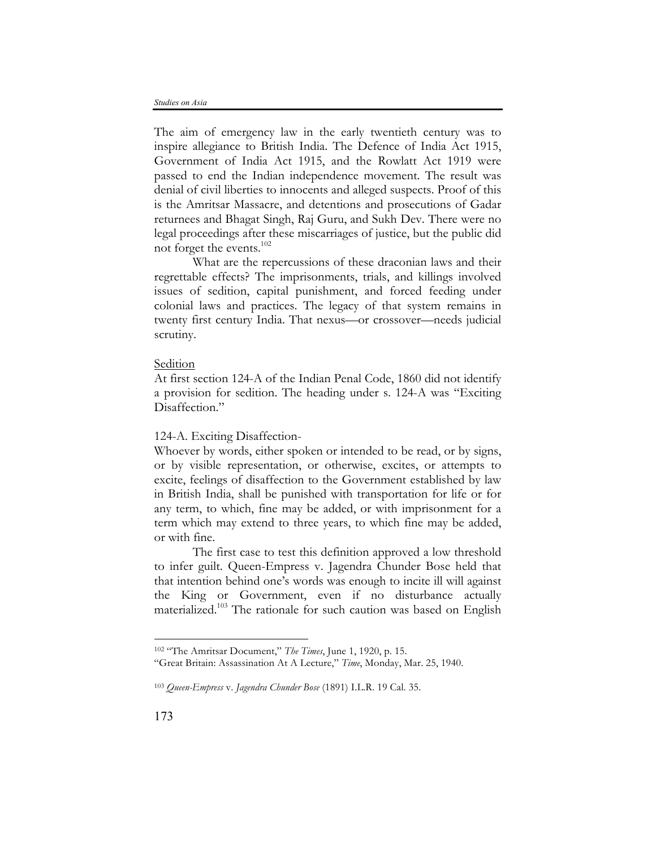The aim of emergency law in the early twentieth century was to inspire allegiance to British India. The Defence of India Act 1915, Government of India Act 1915, and the Rowlatt Act 1919 were passed to end the Indian independence movement. The result was denial of civil liberties to innocents and alleged suspects. Proof of this is the Amritsar Massacre, and detentions and prosecutions of Gadar returnees and Bhagat Singh, Raj Guru, and Sukh Dev. There were no legal proceedings after these miscarriages of justice, but the public did not forget the events. 102

What are the repercussions of these draconian laws and their regrettable effects? The imprisonments, trials, and killings involved issues of sedition, capital punishment, and forced feeding under colonial laws and practices. The legacy of that system remains in twenty first century India. That nexus—or crossover—needs judicial scrutiny.

#### Sedition

At first section 124-A of the Indian Penal Code, 1860 did not identify a provision for sedition. The heading under s. 124-A was "Exciting Disaffection."

# 124-A. Exciting Disaffection-

Whoever by words, either spoken or intended to be read, or by signs, or by visible representation, or otherwise, excites, or attempts to excite, feelings of disaffection to the Government established by law in British India, shall be punished with transportation for life or for any term, to which, fine may be added, or with imprisonment for a term which may extend to three years, to which fine may be added, or with fine.

The first case to test this definition approved a low threshold to infer guilt. Queen-Empress v. Jagendra Chunder Bose held that that intention behind one's words was enough to incite ill will against the King or Government, even if no disturbance actually materialized. <sup>103</sup> The rationale for such caution was based on English

<sup>102</sup> "The Amritsar Document," *The Times*, June 1, 1920, p. 15.

<sup>&</sup>quot;Great Britain: Assassination At A Lecture," *Time*, Monday, Mar. 25, 1940.

<sup>103</sup> *Queen-Empress* v. *Jagendra Chunder Bose* (1891) I.L.R. 19 Cal. 35.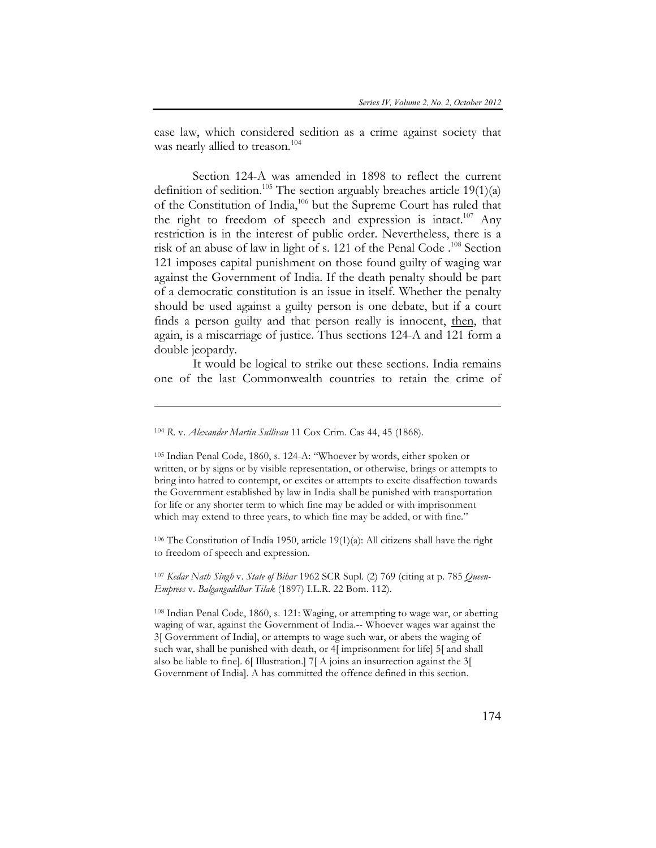case law, which considered sedition as a crime against society that was nearly allied to treason.<sup>104</sup>

Section 124-A was amended in 1898 to reflect the current definition of sedition.<sup>105</sup> The section arguably breaches article 19(1)(a) of the Constitution of India,106 but the Supreme Court has ruled that the right to freedom of speech and expression is intact.<sup>107</sup> Any restriction is in the interest of public order. Nevertheless, there is a risk of an abuse of law in light of s. 121 of the Penal Code . <sup>108</sup> Section 121 imposes capital punishment on those found guilty of waging war against the Government of India. If the death penalty should be part of a democratic constitution is an issue in itself. Whether the penalty should be used against a guilty person is one debate, but if a court finds a person guilty and that person really is innocent, then, that again, is a miscarriage of justice. Thus sections 124-A and 121 form a double jeopardy.

It would be logical to strike out these sections. India remains one of the last Commonwealth countries to retain the crime of

 $\overline{a}$ 

<sup>105</sup> Indian Penal Code, 1860, s. 124-A: "Whoever by words, either spoken or written, or by signs or by visible representation, or otherwise, brings or attempts to bring into hatred to contempt, or excites or attempts to excite disaffection towards the Government established by law in India shall be punished with transportation for life or any shorter term to which fine may be added or with imprisonment which may extend to three years, to which fine may be added, or with fine."

<sup>106</sup> The Constitution of India 1950, article 19(1)(a): All citizens shall have the right to freedom of speech and expression.

<sup>107</sup> *Kedar Nath Singh* v. *State of Bihar* 1962 SCR Supl. (2) 769 (citing at p. 785 *Queen-Empress* v. *Balgangaddhar Tilak* (1897) I.L.R. 22 Bom. 112).

<sup>108</sup> Indian Penal Code, 1860, s. 121: Waging, or attempting to wage war, or abetting waging of war, against the Government of India.-- Whoever wages war against the 3[ Government of India], or attempts to wage such war, or abets the waging of such war, shall be punished with death, or 4[ imprisonment for life] 5[ and shall also be liable to fine]. 6[ Illustration.] 7[ A joins an insurrection against the 3[ Government of India]. A has committed the offence defined in this section.

<sup>104</sup> *R.* v. *Alexander Martin Sullivan* 11 Cox Crim. Cas 44, 45 (1868).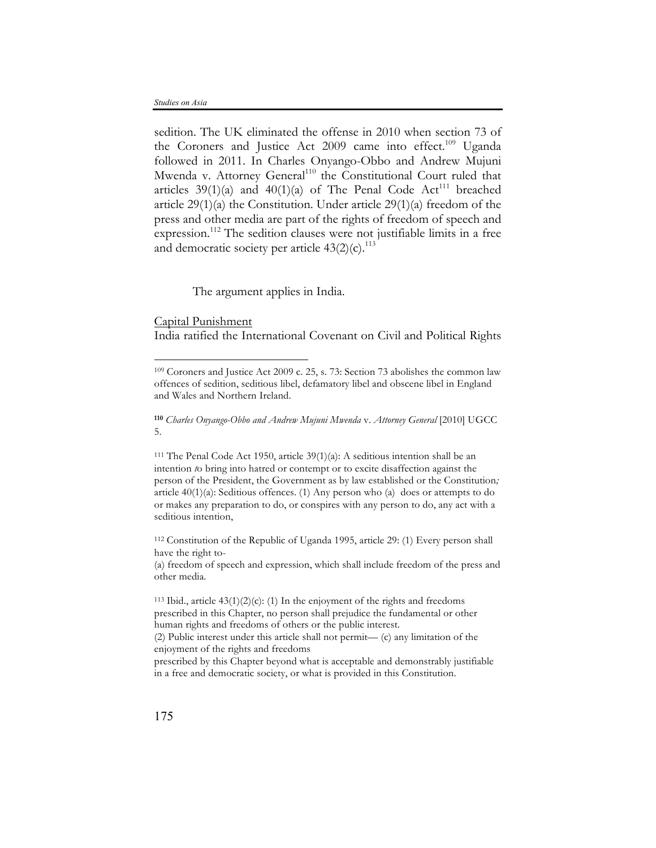sedition. The UK eliminated the offense in 2010 when section 73 of the Coroners and Justice Act 2009 came into effect.<sup>109</sup> Uganda followed in 2011. In Charles Onyango-Obbo and Andrew Mujuni Mwenda v. Attorney General<sup>110</sup> the Constitutional Court ruled that articles  $39(1)(a)$  and  $40(1)(a)$  of The Penal Code Act<sup>111</sup> breached article 29(1)(a) the Constitution. Under article 29(1)(a) freedom of the press and other media are part of the rights of freedom of speech and expression.<sup>112</sup> The sedition clauses were not justifiable limits in a free and democratic society per article  $43(2)(c)$ .<sup>113</sup>

The argument applies in India.

#### Capital Punishment

 $\overline{a}$ 

India ratified the International Covenant on Civil and Political Rights

<sup>112</sup> Constitution of the Republic of Uganda 1995, article 29: (1) Every person shall have the right to-

(a) freedom of speech and expression, which shall include freedom of the press and other media.

<sup>109</sup> Coroners and Justice Act 2009 c. 25, s. 73: Section 73 abolishes the common law offences of sedition, seditious libel, defamatory libel and obscene libel in England and Wales and Northern Ireland.

**<sup>110</sup>** *Charles Onyango-Obbo and Andrew Mujuni Mwenda* v. *Attorney General* [2010] UGCC 5.

<sup>&</sup>lt;sup>111</sup> The Penal Code Act 1950, article  $39(1)(a)$ : A seditious intention shall be an intention *t*o bring into hatred or contempt or to excite disaffection against the person of the President, the Government as by law established or the Constitution*;* article 40(1)(a): Seditious offences. (1) Any person who (a) does or attempts to do or makes any preparation to do, or conspires with any person to do, any act with a seditious intention,

<sup>&</sup>lt;sup>113</sup> Ibid., article  $43(1)(2)(c)$ : (1) In the enjoyment of the rights and freedoms prescribed in this Chapter, no person shall prejudice the fundamental or other human rights and freedoms of others or the public interest. (2) Public interest under this article shall not permit— (c) any limitation of the enjoyment of the rights and freedoms prescribed by this Chapter beyond what is acceptable and demonstrably justifiable in a free and democratic society, or what is provided in this Constitution.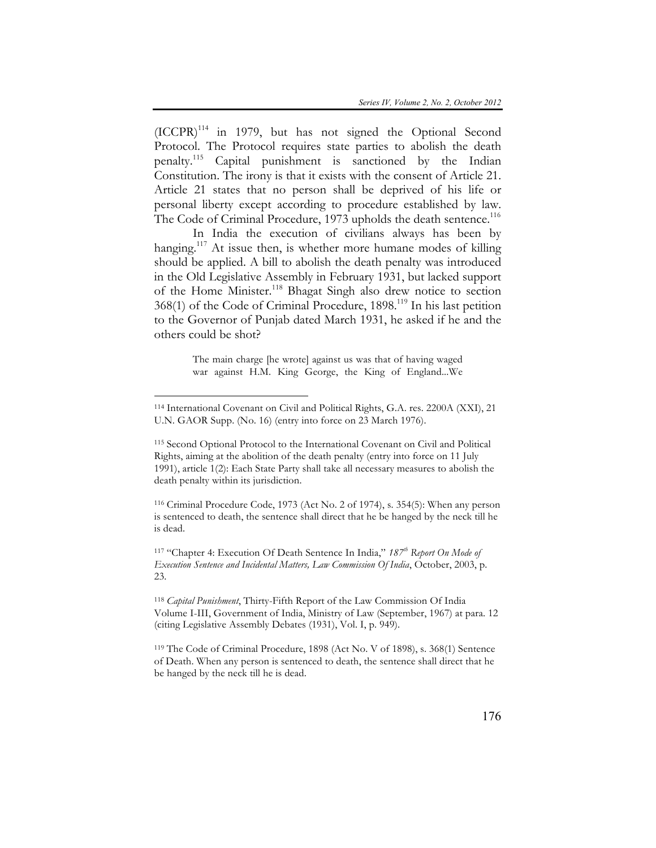$(ICCPR)^{114}$  in 1979, but has not signed the Optional Second Protocol. The Protocol requires state parties to abolish the death penalty. <sup>115</sup> Capital punishment is sanctioned by the Indian Constitution. The irony is that it exists with the consent of Article 21. Article 21 states that no person shall be deprived of his life or personal liberty except according to procedure established by law. The Code of Criminal Procedure, 1973 upholds the death sentence.<sup>116</sup>

In India the execution of civilians always has been by hanging.<sup>117</sup> At issue then, is whether more humane modes of killing should be applied. A bill to abolish the death penalty was introduced in the Old Legislative Assembly in February 1931, but lacked support of the Home Minister.118 Bhagat Singh also drew notice to section 368(1) of the Code of Criminal Procedure, 1898.<sup>119</sup> In his last petition to the Governor of Punjab dated March 1931, he asked if he and the others could be shot?

> The main charge [he wrote] against us was that of having waged war against H.M. King George, the King of England...We

 $\overline{a}$ 

<sup>115</sup> Second Optional Protocol to the International Covenant on Civil and Political Rights, aiming at the abolition of the death penalty (entry into force on 11 July 1991), article 1(2): Each State Party shall take all necessary measures to abolish the death penalty within its jurisdiction.

<sup>116</sup> Criminal Procedure Code, 1973 (Act No. 2 of 1974), s. 354(5): When any person is sentenced to death, the sentence shall direct that he be hanged by the neck till he is dead.

<sup>117</sup> "Chapter 4: Execution Of Death Sentence In India," *187th Report On Mode of Execution Sentence and Incidental Matters, Law Commission Of India*, October, 2003, p. 23.

<sup>118</sup> *Capital Punishment*, Thirty-Fifth Report of the Law Commission Of India Volume I-III, Government of India, Ministry of Law (September, 1967) at para. 12 (citing Legislative Assembly Debates (1931), Vol. I, p. 949).

<sup>119</sup> The Code of Criminal Procedure, 1898 (Act No. V of 1898), s. 368(1) Sentence of Death. When any person is sentenced to death, the sentence shall direct that he be hanged by the neck till he is dead.

<sup>114</sup> International Covenant on Civil and Political Rights, G.A. res. 2200A (XXI), 21 U.N. GAOR Supp. (No. 16) (entry into force on 23 March 1976).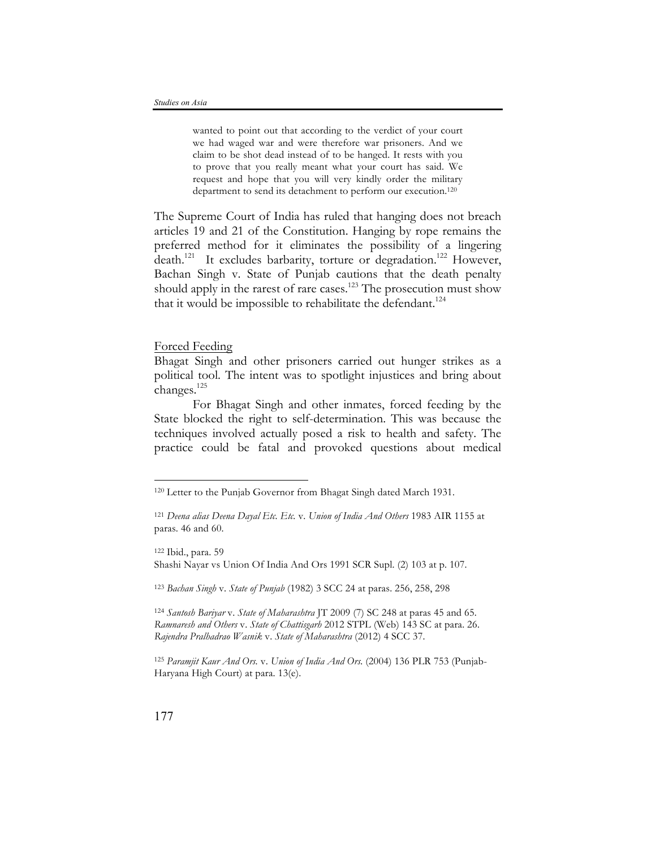wanted to point out that according to the verdict of your court we had waged war and were therefore war prisoners. And we claim to be shot dead instead of to be hanged. It rests with you to prove that you really meant what your court has said. We request and hope that you will very kindly order the military department to send its detachment to perform our execution.<sup>120</sup>

The Supreme Court of India has ruled that hanging does not breach articles 19 and 21 of the Constitution. Hanging by rope remains the preferred method for it eliminates the possibility of a lingering death.<sup>121</sup> It excludes barbarity, torture or degradation.<sup>122</sup> However, Bachan Singh v. State of Punjab cautions that the death penalty should apply in the rarest of rare cases.<sup>123</sup> The prosecution must show that it would be impossible to rehabilitate the defendant.<sup>124</sup>

# Forced Feeding

Bhagat Singh and other prisoners carried out hunger strikes as a political tool. The intent was to spotlight injustices and bring about changes.125

For Bhagat Singh and other inmates, forced feeding by the State blocked the right to self-determination. This was because the techniques involved actually posed a risk to health and safety. The practice could be fatal and provoked questions about medical

<sup>122</sup> Ibid., para. 59 Shashi Nayar vs Union Of India And Ors 1991 SCR Supl. (2) 103 at p. 107.

<sup>123</sup> *Bachan Singh* v. *State of Punjab* (1982) 3 SCC 24 at paras. 256, 258, 298

<sup>124</sup> *Santosh Bariyar* v. *State of Maharashtra* JT 2009 (7) SC 248 at paras 45 and 65. *Ramnaresh and Others* v. *State of Chattisgarh* 2012 STPL (Web) 143 SC at para. 26. *Rajendra Pralhadrao Wasnik* v. *State of Maharashtra* (2012) 4 SCC 37.

<sup>125</sup> *Paramjit Kaur And Ors.* v. *Union of India And Ors.* (2004) 136 PLR 753 (Punjab-Haryana High Court) at para. 13(e).

<sup>120</sup> Letter to the Punjab Governor from Bhagat Singh dated March 1931.

<sup>121</sup> *Deena alias Deena Dayal Etc. Etc.* v. *Union of India And Others* 1983 AIR 1155 at paras. 46 and 60.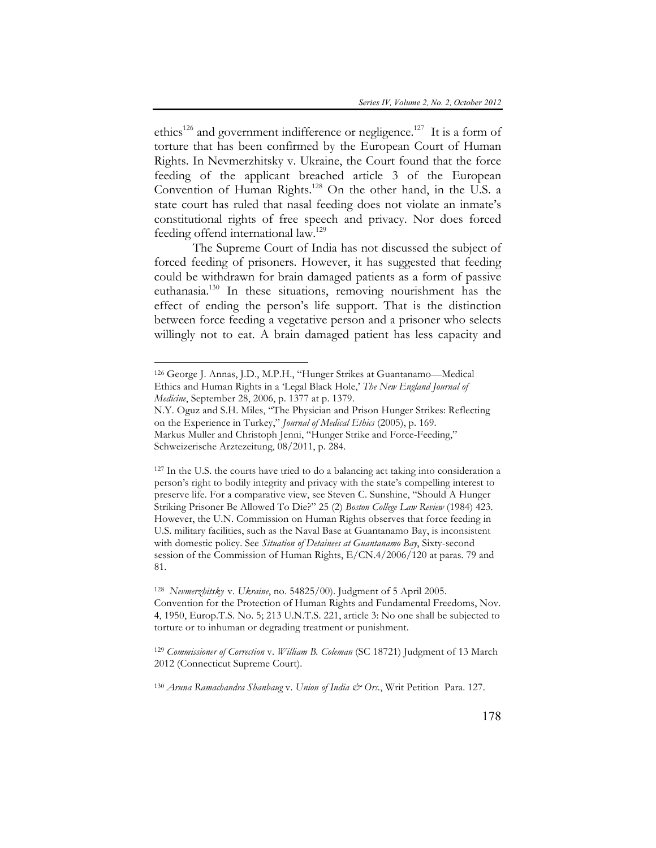ethics<sup>126</sup> and government indifference or negligence.<sup>127</sup> It is a form of torture that has been confirmed by the European Court of Human Rights. In Nevmerzhitsky v. Ukraine, the Court found that the force feeding of the applicant breached article 3 of the European Convention of Human Rights.128 On the other hand, in the U.S. a state court has ruled that nasal feeding does not violate an inmate's constitutional rights of free speech and privacy. Nor does forced feeding offend international law.<sup>129</sup>

The Supreme Court of India has not discussed the subject of forced feeding of prisoners. However, it has suggested that feeding could be withdrawn for brain damaged patients as a form of passive euthanasia. <sup>130</sup> In these situations, removing nourishment has the effect of ending the person's life support. That is the distinction between force feeding a vegetative person and a prisoner who selects willingly not to eat. A brain damaged patient has less capacity and

 $\overline{a}$ 

<sup>127</sup> In the U.S. the courts have tried to do a balancing act taking into consideration a person's right to bodily integrity and privacy with the state's compelling interest to preserve life. For a comparative view, see Steven C. Sunshine, "Should A Hunger Striking Prisoner Be Allowed To Die?" 25 (2) *Boston College Law Review* (1984) 423. However, the U.N. Commission on Human Rights observes that force feeding in U.S. military facilities, such as the Naval Base at Guantanamo Bay, is inconsistent with domestic policy. See *Situation of Detainees at Guantanamo Bay*, Sixty-second session of the Commission of Human Rights, E/CN.4/2006/120 at paras. 79 and 81.

<sup>126</sup> George J. Annas, J.D., M.P.H., "Hunger Strikes at Guantanamo—Medical Ethics and Human Rights in a 'Legal Black Hole,' *The New England Journal of Medicine*, September 28, 2006, p. 1377 at p. 1379.

N.Y. Oguz and S.H. Miles, "The Physician and Prison Hunger Strikes: Reflecting on the Experience in Turkey," *Journal of Medical Ethics* (2005), p. 169. Markus Muller and Christoph Jenni, "Hunger Strike and Force-Feeding," Schweizerische Arztezeitung, 08/2011, p. 284.

<sup>128</sup> *Nevmerzhitsky* v. *Ukraine*, no. 54825/00). Judgment of 5 April 2005. Convention for the Protection of Human Rights and Fundamental Freedoms, Nov. 4, 1950, Europ.T.S. No. 5; 213 U.N.T.S. 221, article 3: No one shall be subjected to torture or to inhuman or degrading treatment or punishment.

<sup>129</sup> *Commissioner of Correction* v. *William B. Coleman* (SC 18721) Judgment of 13 March 2012 (Connecticut Supreme Court).

<sup>130</sup> *Aruna Ramachandra Shanbaug* v. *Union of India & Ors.*, Writ Petition Para. 127.